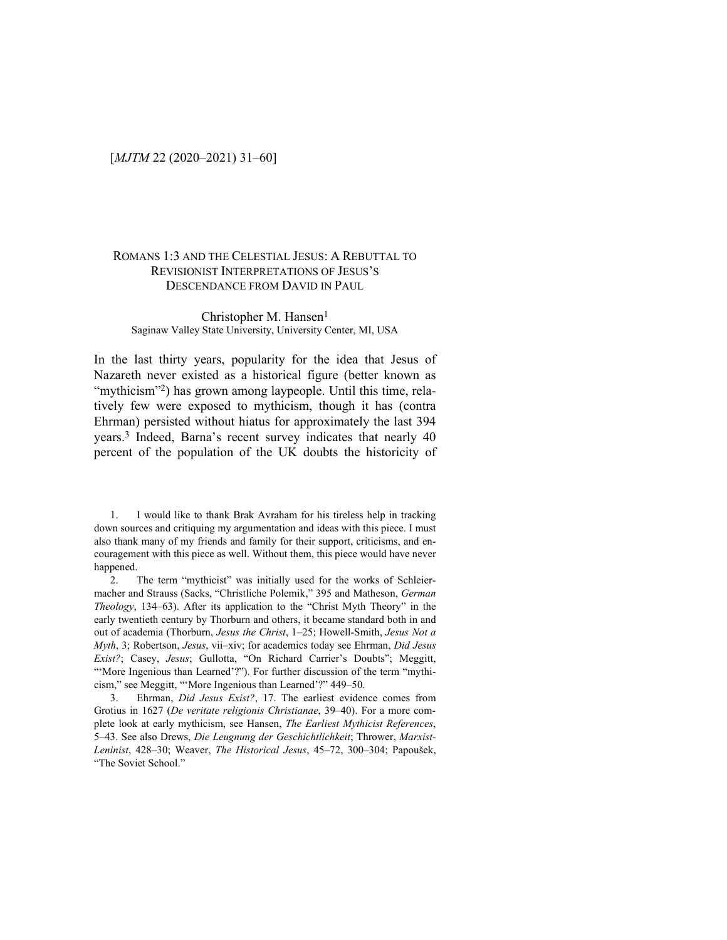### ROMANS 1:3 AND THE CELESTIAL JESUS: A REBUTTAL TO REVISIONIST INTERPRETATIONS OF JESUS'S DESCENDANCE FROM DAVID IN PAUL

#### Christopher M. Hansen<sup>1</sup> Saginaw Valley State University, University Center, MI, USA

In the last thirty years, popularity for the idea that Jesus of Nazareth never existed as a historical figure (better known as "mythicism"<sup>2</sup>) has grown among laypeople. Until this time, relatively few were exposed to mythicism, though it has (contra Ehrman) persisted without hiatus for approximately the last 394 years.3 Indeed, Barna's recent survey indicates that nearly 40 percent of the population of the UK doubts the historicity of

1. I would like to thank Brak Avraham for his tireless help in tracking down sources and critiquing my argumentation and ideas with this piece. I must also thank many of my friends and family for their support, criticisms, and encouragement with this piece as well. Without them, this piece would have never happened.

2. The term "mythicist" was initially used for the works of Schleiermacher and Strauss (Sacks, "Christliche Polemik," 395 and Matheson, *German Theology*, 134–63). After its application to the "Christ Myth Theory" in the early twentieth century by Thorburn and others, it became standard both in and out of academia (Thorburn, *Jesus the Christ*, 1–25; Howell-Smith, *Jesus Not a Myth*, 3; Robertson, *Jesus*, vii–xiv; for academics today see Ehrman, *Did Jesus Exist?*; Casey, *Jesus*; Gullotta, "On Richard Carrier's Doubts"; Meggitt, "'More Ingenious than Learned'?"). For further discussion of the term "mythicism," see Meggitt, "'More Ingenious than Learned'?" 449–50.

3. Ehrman, *Did Jesus Exist?*, 17. The earliest evidence comes from Grotius in 1627 (*De veritate religionis Christianae*, 39–40). For a more complete look at early mythicism, see Hansen, *The Earliest Mythicist References*, 5–43. See also Drews, *Die Leugnung der Geschichtlichkeit*; Thrower, *Marxist-Leninist*, 428–30; Weaver, *The Historical Jesus*, 45–72, 300–304; Papoušek, "The Soviet School."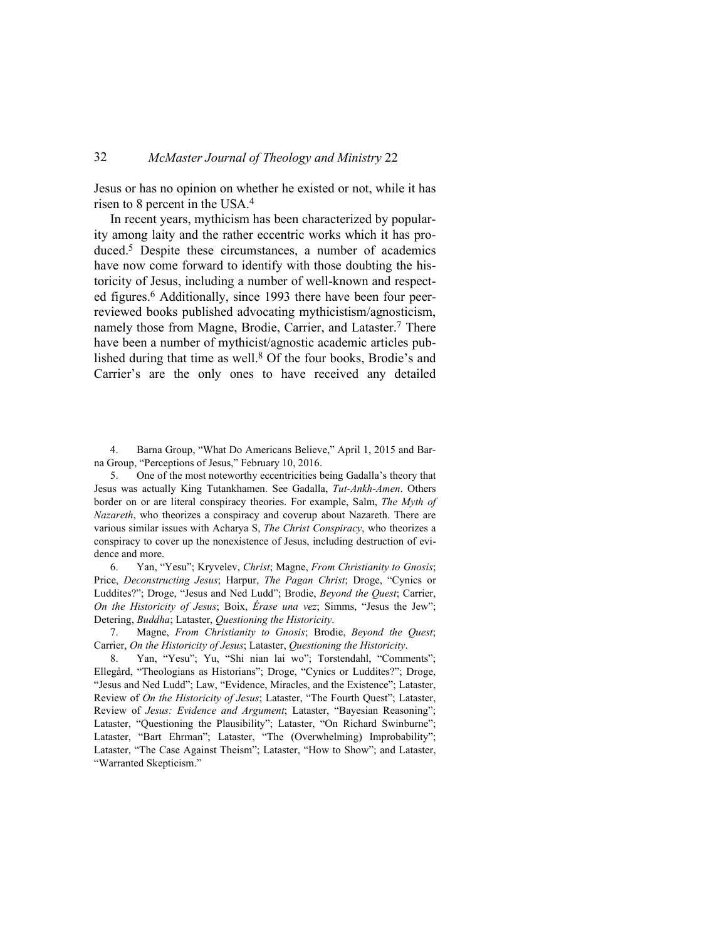Jesus or has no opinion on whether he existed or not, while it has risen to 8 percent in the USA.<sup>4</sup>

In recent years, mythicism has been characterized by popularity among laity and the rather eccentric works which it has produced.5 Despite these circumstances, a number of academics have now come forward to identify with those doubting the historicity of Jesus, including a number of well-known and respected figures.6 Additionally, since 1993 there have been four peerreviewed books published advocating mythicistism/agnosticism, namely those from Magne, Brodie, Carrier, and Lataster.<sup>7</sup> There have been a number of mythicist/agnostic academic articles published during that time as well.<sup>8</sup> Of the four books, Brodie's and Carrier's are the only ones to have received any detailed

4. Barna Group, "What Do Americans Believe," April 1, 2015 and Barna Group, "Perceptions of Jesus," February 10, 2016.

5. One of the most noteworthy eccentricities being Gadalla's theory that Jesus was actually King Tutankhamen. See Gadalla, *Tut-Ankh-Amen*. Others border on or are literal conspiracy theories. For example, Salm, *The Myth of Nazareth*, who theorizes a conspiracy and coverup about Nazareth. There are various similar issues with Acharya S, *The Christ Conspiracy*, who theorizes a conspiracy to cover up the nonexistence of Jesus, including destruction of evidence and more.

6. Yan, "Yesu"; Kryvelev, *Christ*; Magne, *From Christianity to Gnosis*; Price, *Deconstructing Jesus*; Harpur, *The Pagan Christ*; Droge, "Cynics or Luddites?"; Droge, "Jesus and Ned Ludd"; Brodie, *Beyond the Quest*; Carrier, *On the Historicity of Jesus*; Boix, *Érase una vez*; Simms, "Jesus the Jew"; Detering, *Buddha*; Lataster, *Questioning the Historicity*.

7. Magne, *From Christianity to Gnosis*; Brodie, *Beyond the Quest*; Carrier, *On the Historicity of Jesus*; Lataster, *Questioning the Historicity*.

8. Yan, "Yesu"; Yu, "Shi nian lai wo"; Torstendahl, "Comments"; Ellegård, "Theologians as Historians"; Droge, "Cynics or Luddites?"; Droge, "Jesus and Ned Ludd"; Law, "Evidence, Miracles, and the Existence"; Lataster, Review of *On the Historicity of Jesus*; Lataster, "The Fourth Quest"; Lataster, Review of *Jesus: Evidence and Argument*; Lataster, "Bayesian Reasoning"; Lataster, "Questioning the Plausibility"; Lataster, "On Richard Swinburne"; Lataster, "Bart Ehrman"; Lataster, "The (Overwhelming) Improbability"; Lataster, "The Case Against Theism"; Lataster, "How to Show"; and Lataster, "Warranted Skepticism."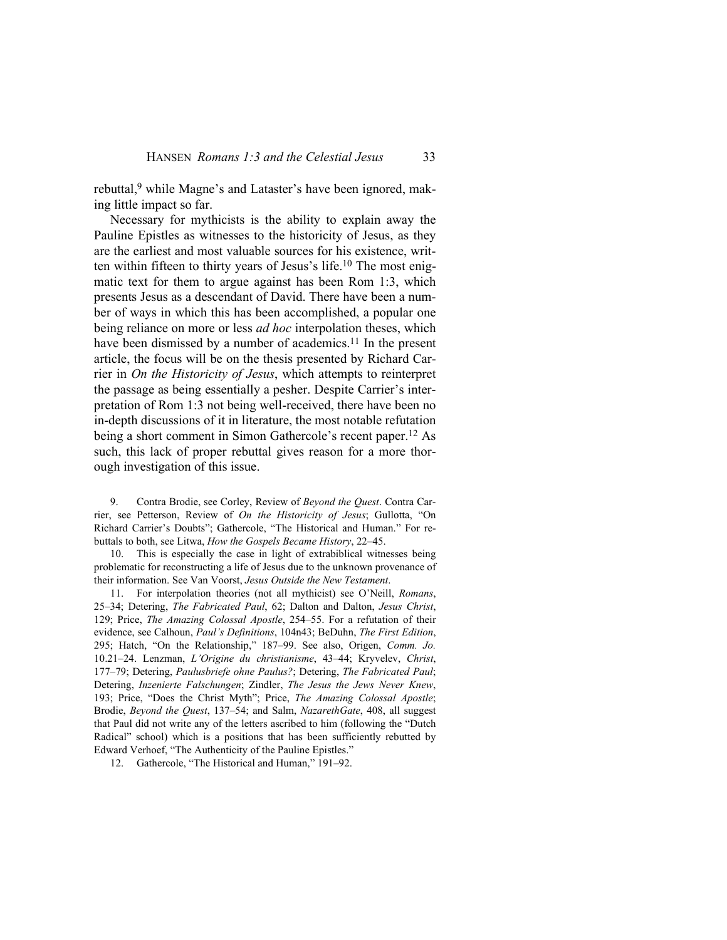rebuttal,<sup>9</sup> while Magne's and Lataster's have been ignored, making little impact so far.

Necessary for mythicists is the ability to explain away the Pauline Epistles as witnesses to the historicity of Jesus, as they are the earliest and most valuable sources for his existence, written within fifteen to thirty years of Jesus's life.10 The most enigmatic text for them to argue against has been Rom 1:3, which presents Jesus as a descendant of David. There have been a number of ways in which this has been accomplished, a popular one being reliance on more or less *ad hoc* interpolation theses, which have been dismissed by a number of academics.<sup>11</sup> In the present article, the focus will be on the thesis presented by Richard Carrier in *On the Historicity of Jesus*, which attempts to reinterpret the passage as being essentially a pesher. Despite Carrier's interpretation of Rom 1:3 not being well-received, there have been no in-depth discussions of it in literature, the most notable refutation being a short comment in Simon Gathercole's recent paper.12 As such, this lack of proper rebuttal gives reason for a more thorough investigation of this issue.

9. Contra Brodie, see Corley, Review of *Beyond the Quest*. Contra Carrier, see Petterson, Review of *On the Historicity of Jesus*; Gullotta, "On Richard Carrier's Doubts"; Gathercole, "The Historical and Human." For rebuttals to both, see Litwa, *How the Gospels Became History*, 22–45.

10. This is especially the case in light of extrabiblical witnesses being problematic for reconstructing a life of Jesus due to the unknown provenance of their information. See Van Voorst, *Jesus Outside the New Testament*.

11. For interpolation theories (not all mythicist) see O'Neill, *Romans*, 25–34; Detering, *The Fabricated Paul*, 62; Dalton and Dalton, *Jesus Christ*, 129; Price, *The Amazing Colossal Apostle*, 254–55. For a refutation of their evidence, see Calhoun, *Paul's Definitions*, 104n43; BeDuhn, *The First Edition*, 295; Hatch, "On the Relationship," 187–99. See also, Origen, *Comm. Jo.* 10.21–24. Lenzman, *L'Origine du christianisme*, 43–44; Kryvelev, *Christ*, 177–79; Detering, *Paulusbriefe ohne Paulus?*; Detering, *The Fabricated Paul*; Detering, *Inzenierte Falschungen*; Zindler, *The Jesus the Jews Never Knew*, 193; Price, "Does the Christ Myth"; Price, *The Amazing Colossal Apostle*; Brodie, *Beyond the Quest*, 137–54; and Salm, *NazarethGate*, 408, all suggest that Paul did not write any of the letters ascribed to him (following the "Dutch Radical" school) which is a positions that has been sufficiently rebutted by Edward Verhoef, "The Authenticity of the Pauline Epistles."

12. Gathercole, "The Historical and Human," 191–92.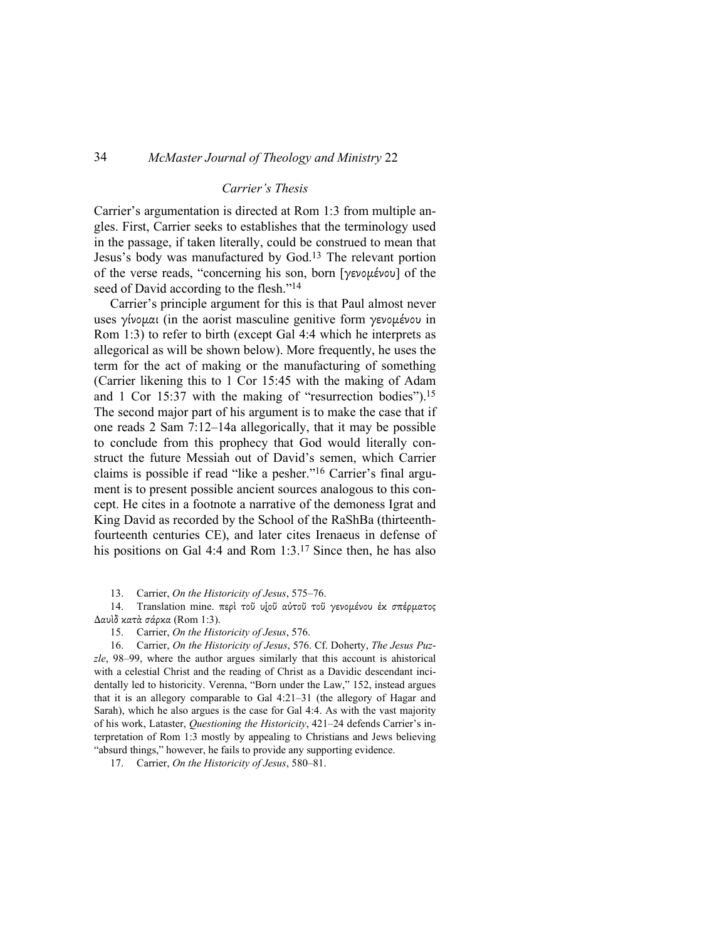#### *Carrier's Thesis*

Carrier's argumentation is directed at Rom 1:3 from multiple angles. First, Carrier seeks to establishes that the terminology used in the passage, if taken literally, could be construed to mean that Jesus's body was manufactured by God.13 The relevant portion of the verse reads, "concerning his son, born [γενοµένου] of the seed of David according to the flesh."<sup>14</sup>

Carrier's principle argument for this is that Paul almost never uses γίνομαι (in the aorist masculine genitive form γενομένου in Rom 1:3) to refer to birth (except Gal 4:4 which he interprets as allegorical as will be shown below). More frequently, he uses the term for the act of making or the manufacturing of something (Carrier likening this to 1 Cor 15:45 with the making of Adam and 1 Cor 15:37 with the making of "resurrection bodies").<sup>15</sup> The second major part of his argument is to make the case that if one reads 2 Sam 7:12–14a allegorically, that it may be possible to conclude from this prophecy that God would literally construct the future Messiah out of David's semen, which Carrier claims is possible if read "like a pesher."16 Carrier's final argument is to present possible ancient sources analogous to this concept. He cites in a footnote a narrative of the demoness Igrat and King David as recorded by the School of the RaShBa (thirteenthfourteenth centuries CE), and later cites Irenaeus in defense of his positions on Gal 4:4 and Rom 1:3.<sup>17</sup> Since then, he has also

13. Carrier, *On the Historicity of Jesus*, 575–76.

14. Translation mine. περὶ τοῦ υֻἱοῦ αὐτοῦ τοῦ γενοµένου ἐκ σπέρµατος ∆αυὶδ κατὰ σάρκα (Rom 1:3).

15. Carrier, *On the Historicity of Jesus*, 576.

16. Carrier, *On the Historicity of Jesus*, 576. Cf. Doherty, *The Jesus Puzzle*, 98–99, where the author argues similarly that this account is ahistorical with a celestial Christ and the reading of Christ as a Davidic descendant incidentally led to historicity. Verenna, "Born under the Law," 152, instead argues that it is an allegory comparable to Gal 4:21–31 (the allegory of Hagar and Sarah), which he also argues is the case for Gal 4:4. As with the vast majority of his work, Lataster, *Questioning the Historicity*, 421–24 defends Carrier's interpretation of Rom 1:3 mostly by appealing to Christians and Jews believing "absurd things," however, he fails to provide any supporting evidence.

17. Carrier, *On the Historicity of Jesus*, 580–81.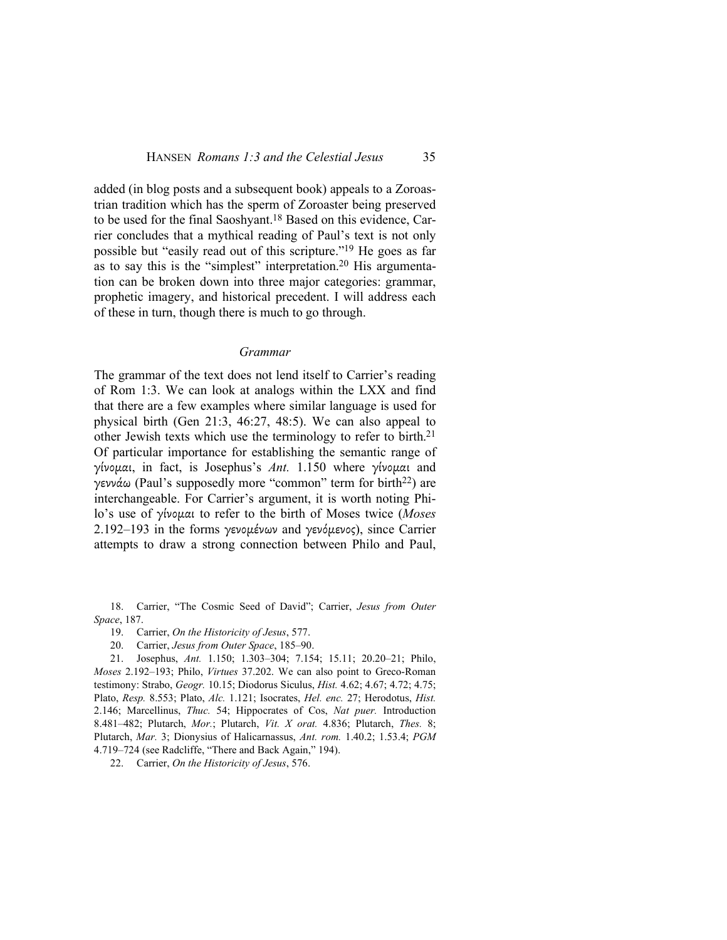added (in blog posts and a subsequent book) appeals to a Zoroastrian tradition which has the sperm of Zoroaster being preserved to be used for the final Saoshyant.18 Based on this evidence, Carrier concludes that a mythical reading of Paul's text is not only possible but "easily read out of this scripture."19 He goes as far as to say this is the "simplest" interpretation.20 His argumentation can be broken down into three major categories: grammar, prophetic imagery, and historical precedent. I will address each of these in turn, though there is much to go through.

#### *Grammar*

The grammar of the text does not lend itself to Carrier's reading of Rom 1:3. We can look at analogs within the LXX and find that there are a few examples where similar language is used for physical birth (Gen 21:3, 46:27, 48:5). We can also appeal to other Jewish texts which use the terminology to refer to birth.<sup>21</sup> Of particular importance for establishing the semantic range of γίνοµαι, in fact, is Josephus's *Ant.* 1.150 where γίνοµαι and γεννάω (Paul's supposedly more "common" term for birth22) are interchangeable. For Carrier's argument, it is worth noting Philo's use of γίνοµαι to refer to the birth of Moses twice (*Moses*  2.192–193 in the forms γενομένων and γενόμενος), since Carrier attempts to draw a strong connection between Philo and Paul,

18. Carrier, "The Cosmic Seed of David"; Carrier, *Jesus from Outer Space*, 187.

- 19. Carrier, *On the Historicity of Jesus*, 577.
- 20. Carrier, *Jesus from Outer Space*, 185–90.

21. Josephus, *Ant.* 1.150; 1.303–304; 7.154; 15.11; 20.20–21; Philo, *Moses* 2.192–193; Philo, *Virtues* 37.202. We can also point to Greco-Roman testimony: Strabo, *Geogr.* 10.15; Diodorus Siculus, *Hist.* 4.62; 4.67; 4.72; 4.75; Plato, *Resp.* 8.553; Plato, *Alc.* 1.121; Isocrates, *Hel. enc.* 27; Herodotus, *Hist.* 2.146; Marcellinus, *Thuc.* 54; Hippocrates of Cos, *Nat puer.* Introduction 8.481–482; Plutarch, *Mor.*; Plutarch, *Vit. X orat.* 4.836; Plutarch, *Thes.* 8; Plutarch, *Mar.* 3; Dionysius of Halicarnassus, *Ant. rom.* 1.40.2; 1.53.4; *PGM* 4.719–724 (see Radcliffe, "There and Back Again," 194).

22. Carrier, *On the Historicity of Jesus*, 576.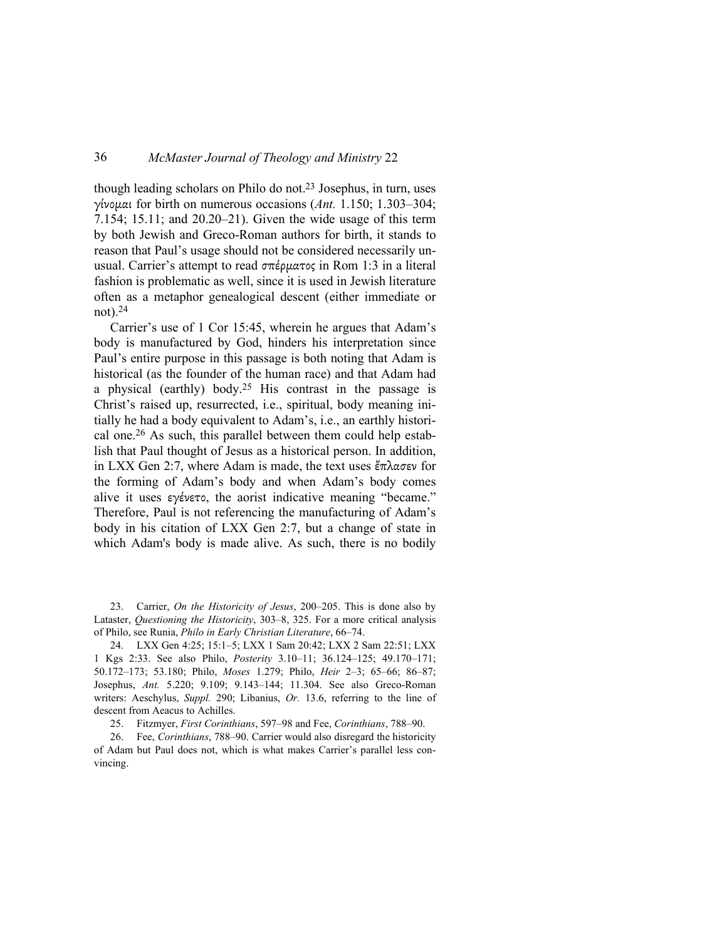though leading scholars on Philo do not.<sup>23</sup> Josephus, in turn, uses γίνοµαι for birth on numerous occasions (*Ant.* 1.150; 1.303–304; 7.154; 15.11; and 20.20–21). Given the wide usage of this term by both Jewish and Greco-Roman authors for birth, it stands to reason that Paul's usage should not be considered necessarily unusual. Carrier's attempt to read σπέρµατος in Rom 1:3 in a literal fashion is problematic as well, since it is used in Jewish literature often as a metaphor genealogical descent (either immediate or not).<sup>24</sup>

Carrier's use of 1 Cor 15:45, wherein he argues that Adam's body is manufactured by God, hinders his interpretation since Paul's entire purpose in this passage is both noting that Adam is historical (as the founder of the human race) and that Adam had a physical (earthly) body.<sup>25</sup> His contrast in the passage is Christ's raised up, resurrected, i.e., spiritual, body meaning initially he had a body equivalent to Adam's, i.e., an earthly historical one.26 As such, this parallel between them could help establish that Paul thought of Jesus as a historical person. In addition, in LXX Gen 2:7, where Adam is made, the text uses ἔπλασεν for the forming of Adam's body and when Adam's body comes alive it uses εγένετο, the aorist indicative meaning "became." Therefore, Paul is not referencing the manufacturing of Adam's body in his citation of LXX Gen 2:7, but a change of state in which Adam's body is made alive. As such, there is no bodily

23. Carrier, *On the Historicity of Jesus*, 200–205. This is done also by Lataster, *Questioning the Historicity*, 303–8, 325. For a more critical analysis of Philo, see Runia, *Philo in Early Christian Literature*, 66–74.

24. LXX Gen 4:25; 15:1–5; LXX 1 Sam 20:42; LXX 2 Sam 22:51; LXX 1 Kgs 2:33. See also Philo, *Posterity* 3.10–11; 36.124–125; 49.170–171; 50.172–173; 53.180; Philo, *Moses* 1.279; Philo, *Heir* 2–3; 65–66; 86–87; Josephus, *Ant.* 5.220; 9.109; 9.143–144; 11.304. See also Greco-Roman writers: Aeschylus, *Suppl.* 290; Libanius, *Or.* 13.6, referring to the line of descent from Aeacus to Achilles.

25. Fitzmyer, *First Corinthians*, 597–98 and Fee, *Corinthians*, 788–90.

26. Fee, *Corinthians*, 788–90. Carrier would also disregard the historicity of Adam but Paul does not, which is what makes Carrier's parallel less convincing.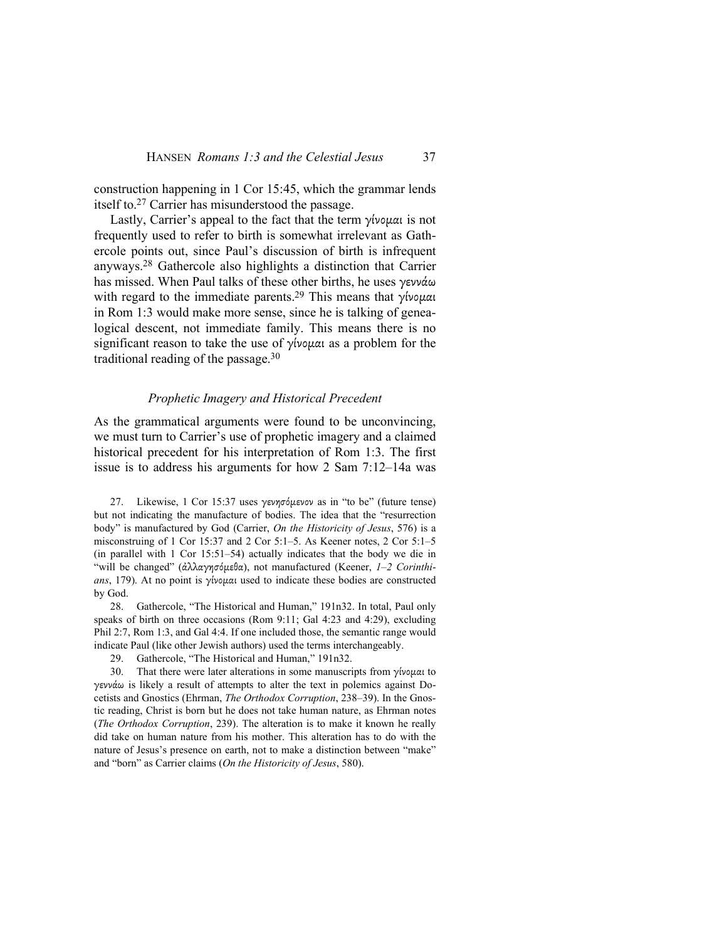construction happening in 1 Cor 15:45, which the grammar lends itself to.27 Carrier has misunderstood the passage.

Lastly, Carrier's appeal to the fact that the term γίνοµαι is not frequently used to refer to birth is somewhat irrelevant as Gathercole points out, since Paul's discussion of birth is infrequent anyways.28 Gathercole also highlights a distinction that Carrier has missed. When Paul talks of these other births, he uses γεννάω with regard to the immediate parents.<sup>29</sup> This means that γίνομαι in Rom 1:3 would make more sense, since he is talking of genealogical descent, not immediate family. This means there is no significant reason to take the use of γίνομαι as a problem for the traditional reading of the passage.<sup>30</sup>

#### *Prophetic Imagery and Historical Precedent*

As the grammatical arguments were found to be unconvincing, we must turn to Carrier's use of prophetic imagery and a claimed historical precedent for his interpretation of Rom 1:3. The first issue is to address his arguments for how 2 Sam 7:12–14a was

27. Likewise, 1 Cor 15:37 uses γενησόµενον as in "to be" (future tense) but not indicating the manufacture of bodies. The idea that the "resurrection body" is manufactured by God (Carrier, *On the Historicity of Jesus*, 576) is a misconstruing of 1 Cor 15:37 and 2 Cor 5:1–5. As Keener notes, 2 Cor 5:1–5 (in parallel with 1 Cor 15:51–54) actually indicates that the body we die in "will be changed" (ἀλλαγησόµεθα), not manufactured (Keener, *1–2 Corinthians*, 179). At no point is γίνοµαι used to indicate these bodies are constructed by God.

28. Gathercole, "The Historical and Human," 191n32. In total, Paul only speaks of birth on three occasions (Rom 9:11; Gal 4:23 and 4:29), excluding Phil 2:7, Rom 1:3, and Gal 4:4. If one included those, the semantic range would indicate Paul (like other Jewish authors) used the terms interchangeably.

29. Gathercole, "The Historical and Human," 191n32.

30. That there were later alterations in some manuscripts from γίνοµαι to γεννάω is likely a result of attempts to alter the text in polemics against Docetists and Gnostics (Ehrman, *The Orthodox Corruption*, 238–39). In the Gnostic reading, Christ is born but he does not take human nature, as Ehrman notes (*The Orthodox Corruption*, 239). The alteration is to make it known he really did take on human nature from his mother. This alteration has to do with the nature of Jesus's presence on earth, not to make a distinction between "make" and "born" as Carrier claims (*On the Historicity of Jesus*, 580).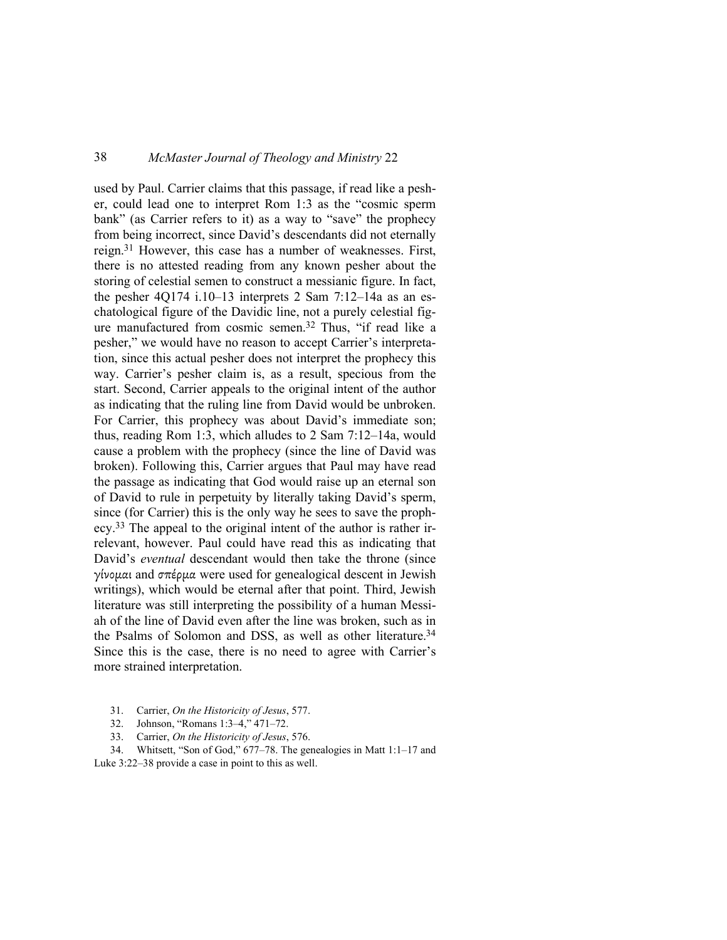used by Paul. Carrier claims that this passage, if read like a pesher, could lead one to interpret Rom 1:3 as the "cosmic sperm bank" (as Carrier refers to it) as a way to "save" the prophecy from being incorrect, since David's descendants did not eternally reign.31 However, this case has a number of weaknesses. First, there is no attested reading from any known pesher about the storing of celestial semen to construct a messianic figure. In fact, the pesher 4Q174 i.10–13 interprets 2 Sam 7:12–14a as an eschatological figure of the Davidic line, not a purely celestial figure manufactured from cosmic semen.32 Thus, "if read like a pesher," we would have no reason to accept Carrier's interpretation, since this actual pesher does not interpret the prophecy this way. Carrier's pesher claim is, as a result, specious from the start. Second, Carrier appeals to the original intent of the author as indicating that the ruling line from David would be unbroken. For Carrier, this prophecy was about David's immediate son; thus, reading Rom 1:3, which alludes to 2 Sam 7:12–14a, would cause a problem with the prophecy (since the line of David was broken). Following this, Carrier argues that Paul may have read the passage as indicating that God would raise up an eternal son of David to rule in perpetuity by literally taking David's sperm, since (for Carrier) this is the only way he sees to save the prophecy.33 The appeal to the original intent of the author is rather irrelevant, however. Paul could have read this as indicating that David's *eventual* descendant would then take the throne (since γίνοµαι and σπέρµα were used for genealogical descent in Jewish writings), which would be eternal after that point. Third, Jewish literature was still interpreting the possibility of a human Messiah of the line of David even after the line was broken, such as in the Psalms of Solomon and DSS, as well as other literature.<sup>34</sup> Since this is the case, there is no need to agree with Carrier's more strained interpretation.

- 31. Carrier, *On the Historicity of Jesus*, 577.
- 32. Johnson, "Romans 1:3–4," 471–72.
- 33. Carrier, *On the Historicity of Jesus*, 576.

34. Whitsett, "Son of God," 677–78. The genealogies in Matt 1:1–17 and Luke 3:22–38 provide a case in point to this as well.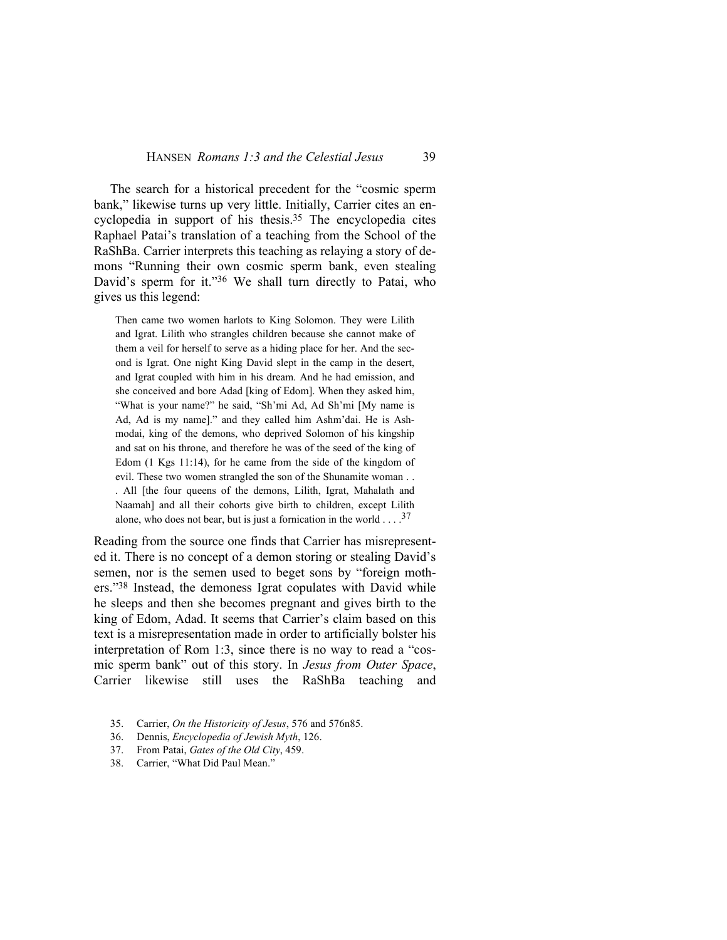#### HANSEN *Romans 1:3 and the Celestial Jesus* 39

The search for a historical precedent for the "cosmic sperm bank," likewise turns up very little. Initially, Carrier cites an encyclopedia in support of his thesis.<sup>35</sup> The encyclopedia cites Raphael Patai's translation of a teaching from the School of the RaShBa. Carrier interprets this teaching as relaying a story of demons "Running their own cosmic sperm bank, even stealing David's sperm for it."36 We shall turn directly to Patai, who gives us this legend:

Then came two women harlots to King Solomon. They were Lilith and Igrat. Lilith who strangles children because she cannot make of them a veil for herself to serve as a hiding place for her. And the second is Igrat. One night King David slept in the camp in the desert, and Igrat coupled with him in his dream. And he had emission, and she conceived and bore Adad [king of Edom]. When they asked him, "What is your name?" he said, "Sh'mi Ad, Ad Sh'mi [My name is Ad, Ad is my name]." and they called him Ashm'dai. He is Ashmodai, king of the demons, who deprived Solomon of his kingship and sat on his throne, and therefore he was of the seed of the king of Edom (1 Kgs 11:14), for he came from the side of the kingdom of evil. These two women strangled the son of the Shunamite woman . . . All [the four queens of the demons, Lilith, Igrat, Mahalath and Naamah] and all their cohorts give birth to children, except Lilith alone, who does not bear, but is just a fornication in the world  $\dots$  .<sup>37</sup>

Reading from the source one finds that Carrier has misrepresented it. There is no concept of a demon storing or stealing David's semen, nor is the semen used to beget sons by "foreign mothers."38 Instead, the demoness Igrat copulates with David while he sleeps and then she becomes pregnant and gives birth to the king of Edom, Adad. It seems that Carrier's claim based on this text is a misrepresentation made in order to artificially bolster his interpretation of Rom 1:3, since there is no way to read a "cosmic sperm bank" out of this story. In *Jesus from Outer Space*, Carrier likewise still uses the RaShBa teaching and

- 35. Carrier, *On the Historicity of Jesus*, 576 and 576n85.
- 36. Dennis, *Encyclopedia of Jewish Myth*, 126.
- 37. From Patai, *Gates of the Old City*, 459.
- 38. Carrier, "What Did Paul Mean."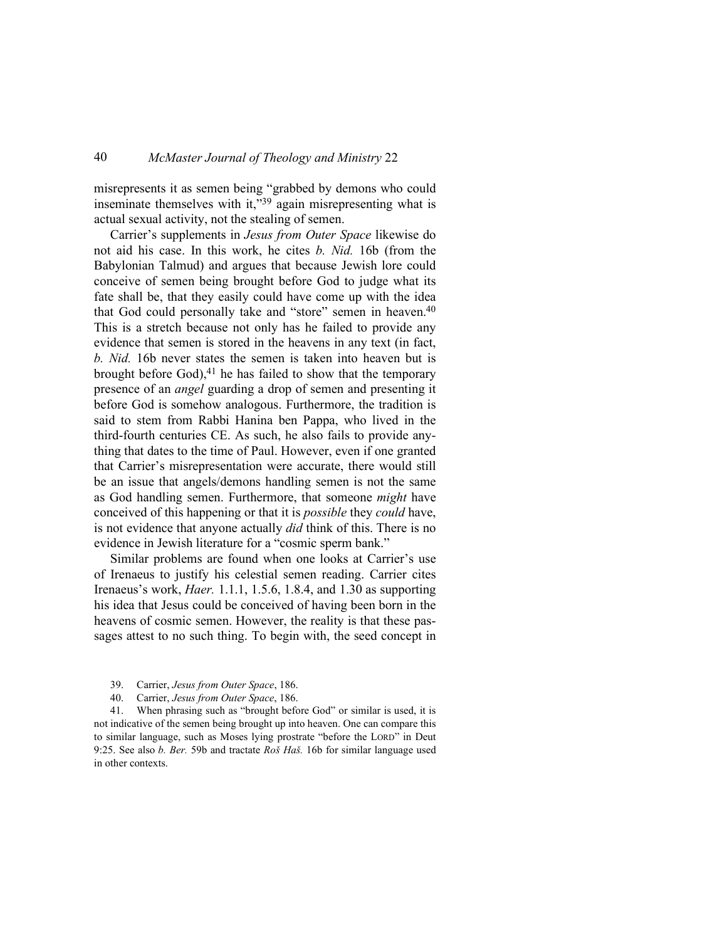misrepresents it as semen being "grabbed by demons who could inseminate themselves with it,"<sup>39</sup> again misrepresenting what is actual sexual activity, not the stealing of semen.

Carrier's supplements in *Jesus from Outer Space* likewise do not aid his case. In this work, he cites *b. Nid.* 16b (from the Babylonian Talmud) and argues that because Jewish lore could conceive of semen being brought before God to judge what its fate shall be, that they easily could have come up with the idea that God could personally take and "store" semen in heaven.<sup>40</sup> This is a stretch because not only has he failed to provide any evidence that semen is stored in the heavens in any text (in fact, *b. Nid.* 16b never states the semen is taken into heaven but is brought before God), $41$  he has failed to show that the temporary presence of an *angel* guarding a drop of semen and presenting it before God is somehow analogous. Furthermore, the tradition is said to stem from Rabbi Hanina ben Pappa, who lived in the third-fourth centuries CE. As such, he also fails to provide anything that dates to the time of Paul. However, even if one granted that Carrier's misrepresentation were accurate, there would still be an issue that angels/demons handling semen is not the same as God handling semen. Furthermore, that someone *might* have conceived of this happening or that it is *possible* they *could* have, is not evidence that anyone actually *did* think of this. There is no evidence in Jewish literature for a "cosmic sperm bank."

Similar problems are found when one looks at Carrier's use of Irenaeus to justify his celestial semen reading. Carrier cites Irenaeus's work, *Haer.* 1.1.1, 1.5.6, 1.8.4, and 1.30 as supporting his idea that Jesus could be conceived of having been born in the heavens of cosmic semen. However, the reality is that these passages attest to no such thing. To begin with, the seed concept in

- 39. Carrier, *Jesus from Outer Space*, 186.
- 40. Carrier, *Jesus from Outer Space*, 186.

41. When phrasing such as "brought before God" or similar is used, it is not indicative of the semen being brought up into heaven. One can compare this to similar language, such as Moses lying prostrate "before the LORD" in Deut 9:25. See also *b. Ber.* 59b and tractate *Roš Haš.* 16b for similar language used in other contexts.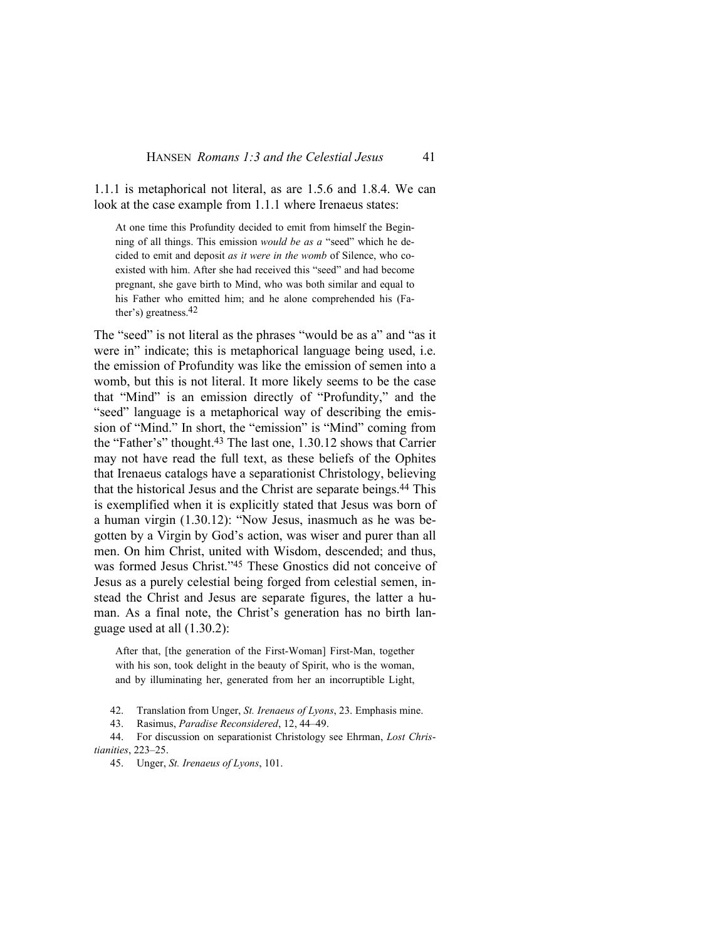1.1.1 is metaphorical not literal, as are 1.5.6 and 1.8.4. We can look at the case example from 1.1.1 where Irenaeus states:

At one time this Profundity decided to emit from himself the Beginning of all things. This emission *would be as a* "seed" which he decided to emit and deposit *as it were in the womb* of Silence, who coexisted with him. After she had received this "seed" and had become pregnant, she gave birth to Mind, who was both similar and equal to his Father who emitted him; and he alone comprehended his (Father's) greatness.42

The "seed" is not literal as the phrases "would be as a" and "as it were in" indicate; this is metaphorical language being used, i.e. the emission of Profundity was like the emission of semen into a womb, but this is not literal. It more likely seems to be the case that "Mind" is an emission directly of "Profundity," and the "seed" language is a metaphorical way of describing the emission of "Mind." In short, the "emission" is "Mind" coming from the "Father's" thought.43 The last one, 1.30.12 shows that Carrier may not have read the full text, as these beliefs of the Ophites that Irenaeus catalogs have a separationist Christology, believing that the historical Jesus and the Christ are separate beings.44 This is exemplified when it is explicitly stated that Jesus was born of a human virgin (1.30.12): "Now Jesus, inasmuch as he was begotten by a Virgin by God's action, was wiser and purer than all men. On him Christ, united with Wisdom, descended; and thus, was formed Jesus Christ."45 These Gnostics did not conceive of Jesus as a purely celestial being forged from celestial semen, instead the Christ and Jesus are separate figures, the latter a human. As a final note, the Christ's generation has no birth language used at all (1.30.2):

After that, [the generation of the First-Woman] First-Man, together with his son, took delight in the beauty of Spirit, who is the woman, and by illuminating her, generated from her an incorruptible Light,

42. Translation from Unger, *St. Irenaeus of Lyons*, 23. Emphasis mine.

43. Rasimus, *Paradise Reconsidered*, 12, 44–49.

44. For discussion on separationist Christology see Ehrman, *Lost Christianities*, 223–25.

45. Unger, *St. Irenaeus of Lyons*, 101.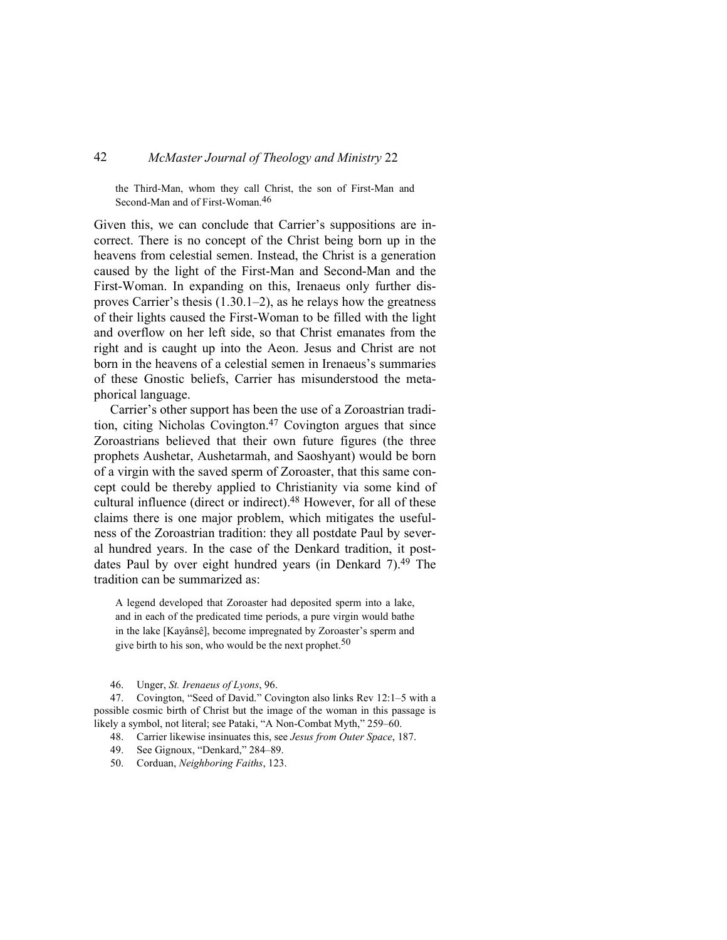the Third-Man, whom they call Christ, the son of First-Man and Second-Man and of First-Woman.46

Given this, we can conclude that Carrier's suppositions are incorrect. There is no concept of the Christ being born up in the heavens from celestial semen. Instead, the Christ is a generation caused by the light of the First-Man and Second-Man and the First-Woman. In expanding on this, Irenaeus only further disproves Carrier's thesis (1.30.1–2), as he relays how the greatness of their lights caused the First-Woman to be filled with the light and overflow on her left side, so that Christ emanates from the right and is caught up into the Aeon. Jesus and Christ are not born in the heavens of a celestial semen in Irenaeus's summaries of these Gnostic beliefs, Carrier has misunderstood the metaphorical language.

Carrier's other support has been the use of a Zoroastrian tradition, citing Nicholas Covington.47 Covington argues that since Zoroastrians believed that their own future figures (the three prophets Aushetar, Aushetarmah, and Saoshyant) would be born of a virgin with the saved sperm of Zoroaster, that this same concept could be thereby applied to Christianity via some kind of cultural influence (direct or indirect).<sup>48</sup> However, for all of these claims there is one major problem, which mitigates the usefulness of the Zoroastrian tradition: they all postdate Paul by several hundred years. In the case of the Denkard tradition, it postdates Paul by over eight hundred years (in Denkard 7).49 The tradition can be summarized as:

A legend developed that Zoroaster had deposited sperm into a lake, and in each of the predicated time periods, a pure virgin would bathe in the lake [Kayânsê], become impregnated by Zoroaster's sperm and give birth to his son, who would be the next prophet.<sup>50</sup>

46. Unger, *St. Irenaeus of Lyons*, 96.

47. Covington, "Seed of David." Covington also links Rev 12:1–5 with a possible cosmic birth of Christ but the image of the woman in this passage is likely a symbol, not literal; see Pataki, "A Non-Combat Myth," 259–60.

48. Carrier likewise insinuates this, see *Jesus from Outer Space*, 187.

49. See Gignoux, "Denkard," 284–89.

50. Corduan, *Neighboring Faiths*, 123.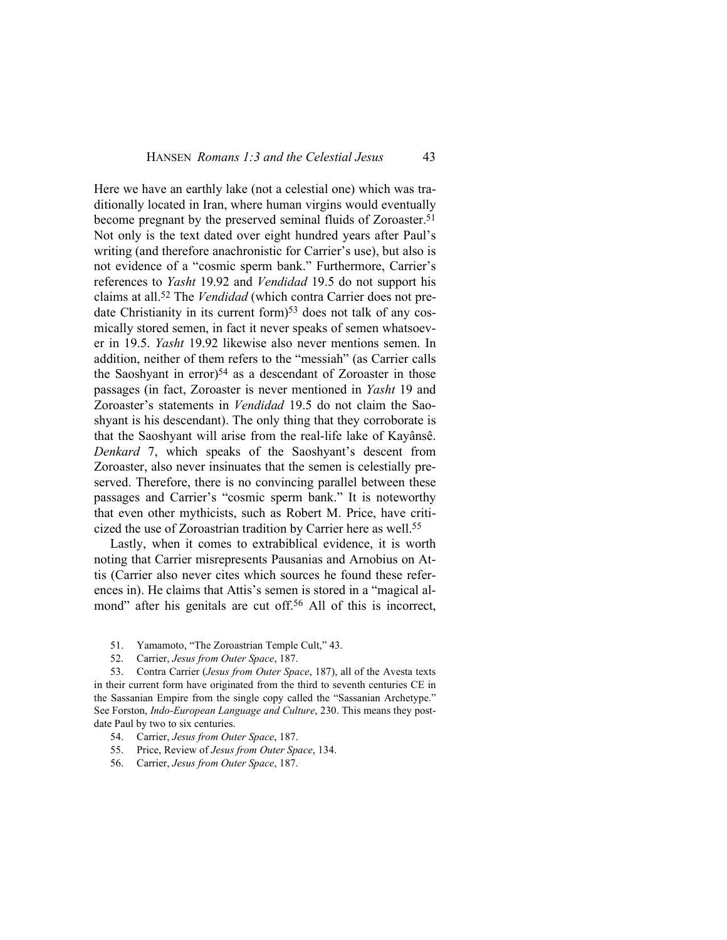Here we have an earthly lake (not a celestial one) which was traditionally located in Iran, where human virgins would eventually become pregnant by the preserved seminal fluids of Zoroaster.<sup>51</sup> Not only is the text dated over eight hundred years after Paul's writing (and therefore anachronistic for Carrier's use), but also is not evidence of a "cosmic sperm bank." Furthermore, Carrier's references to *Yasht* 19.92 and *Vendidad* 19.5 do not support his claims at all.52 The *Vendidad* (which contra Carrier does not predate Christianity in its current form)<sup>53</sup> does not talk of any cosmically stored semen, in fact it never speaks of semen whatsoever in 19.5. *Yasht* 19.92 likewise also never mentions semen. In addition, neither of them refers to the "messiah" (as Carrier calls the Saoshyant in error $5<sup>54</sup>$  as a descendant of Zoroaster in those passages (in fact, Zoroaster is never mentioned in *Yasht* 19 and Zoroaster's statements in *Vendidad* 19.5 do not claim the Saoshyant is his descendant). The only thing that they corroborate is that the Saoshyant will arise from the real-life lake of Kayânsê. *Denkard* 7, which speaks of the Saoshyant's descent from Zoroaster, also never insinuates that the semen is celestially preserved. Therefore, there is no convincing parallel between these passages and Carrier's "cosmic sperm bank." It is noteworthy that even other mythicists, such as Robert M. Price, have criticized the use of Zoroastrian tradition by Carrier here as well.<sup>55</sup>

Lastly, when it comes to extrabiblical evidence, it is worth noting that Carrier misrepresents Pausanias and Arnobius on Attis (Carrier also never cites which sources he found these references in). He claims that Attis's semen is stored in a "magical almond" after his genitals are cut off.<sup>56</sup> All of this is incorrect,

- 51. Yamamoto, "The Zoroastrian Temple Cult," 43.
- 52. Carrier, *Jesus from Outer Space*, 187.

53. Contra Carrier (*Jesus from Outer Space*, 187), all of the Avesta texts in their current form have originated from the third to seventh centuries CE in the Sassanian Empire from the single copy called the "Sassanian Archetype." See Forston, *Indo-European Language and Culture*, 230. This means they postdate Paul by two to six centuries.

- 54. Carrier, *Jesus from Outer Space*, 187.
- 55. Price, Review of *Jesus from Outer Space*, 134.
- 56. Carrier, *Jesus from Outer Space*, 187.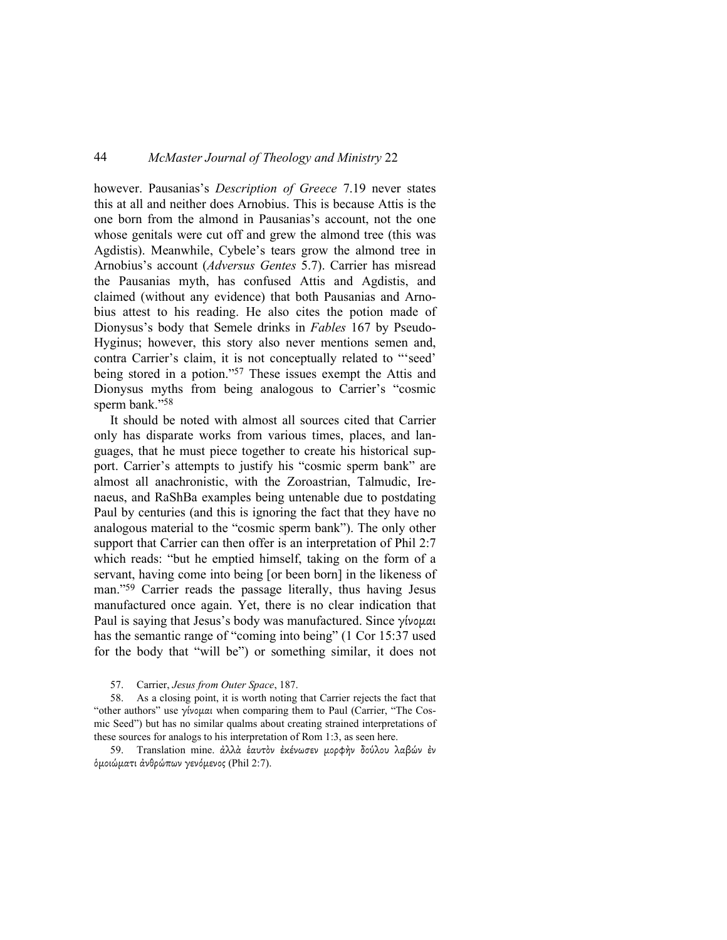however. Pausanias's *Description of Greece* 7.19 never states this at all and neither does Arnobius. This is because Attis is the one born from the almond in Pausanias's account, not the one whose genitals were cut off and grew the almond tree (this was Agdistis). Meanwhile, Cybele's tears grow the almond tree in Arnobius's account (*Adversus Gentes* 5.7). Carrier has misread the Pausanias myth, has confused Attis and Agdistis, and claimed (without any evidence) that both Pausanias and Arnobius attest to his reading. He also cites the potion made of Dionysus's body that Semele drinks in *Fables* 167 by Pseudo-Hyginus; however, this story also never mentions semen and, contra Carrier's claim, it is not conceptually related to "'seed' being stored in a potion."57 These issues exempt the Attis and Dionysus myths from being analogous to Carrier's "cosmic sperm bank."<sup>58</sup>

It should be noted with almost all sources cited that Carrier only has disparate works from various times, places, and languages, that he must piece together to create his historical support. Carrier's attempts to justify his "cosmic sperm bank" are almost all anachronistic, with the Zoroastrian, Talmudic, Irenaeus, and RaShBa examples being untenable due to postdating Paul by centuries (and this is ignoring the fact that they have no analogous material to the "cosmic sperm bank"). The only other support that Carrier can then offer is an interpretation of Phil 2:7 which reads: "but he emptied himself, taking on the form of a servant, having come into being [or been born] in the likeness of man."59 Carrier reads the passage literally, thus having Jesus manufactured once again. Yet, there is no clear indication that Paul is saying that Jesus's body was manufactured. Since γίνομαι has the semantic range of "coming into being" (1 Cor 15:37 used for the body that "will be") or something similar, it does not

59. Translation mine. ἀλλὰ ἑαυτὸν ἐκένωσεν µορφὴν δούλου λαβών ἐν ὁµοιώµατι ἀνθρώπων γενόµενος (Phil 2:7).

<sup>57.</sup> Carrier, *Jesus from Outer Space*, 187.

<sup>58.</sup> As a closing point, it is worth noting that Carrier rejects the fact that "other authors" use γίνομαι when comparing them to Paul (Carrier, "The Cosmic Seed") but has no similar qualms about creating strained interpretations of these sources for analogs to his interpretation of Rom 1:3, as seen here.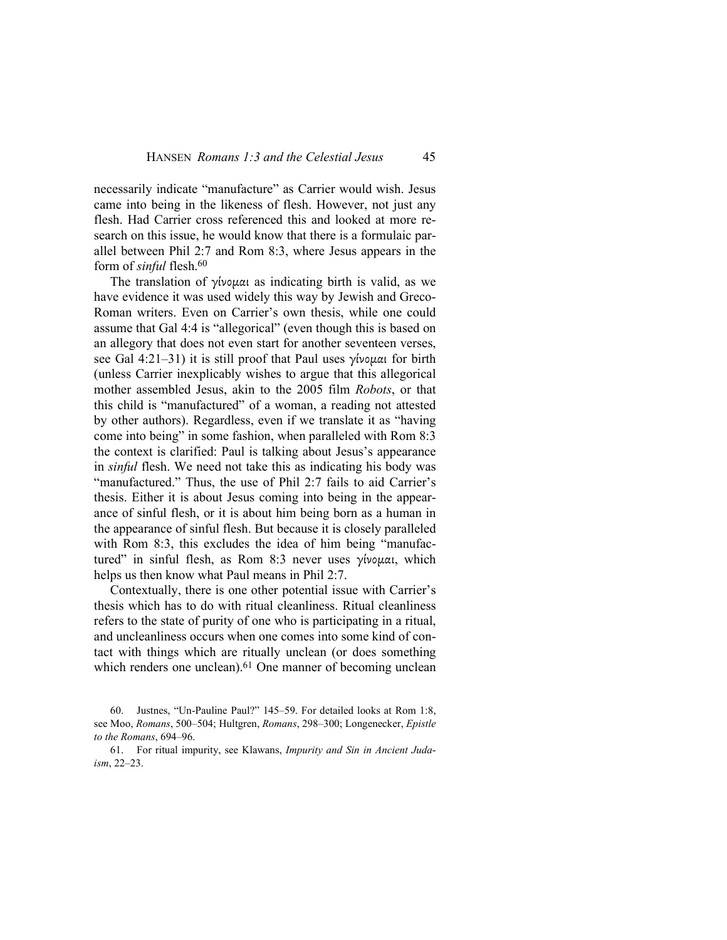necessarily indicate "manufacture" as Carrier would wish. Jesus came into being in the likeness of flesh. However, not just any flesh. Had Carrier cross referenced this and looked at more research on this issue, he would know that there is a formulaic parallel between Phil 2:7 and Rom 8:3, where Jesus appears in the form of *sinful* flesh.<sup>60</sup>

The translation of γίνομαι as indicating birth is valid, as we have evidence it was used widely this way by Jewish and Greco-Roman writers. Even on Carrier's own thesis, while one could assume that Gal 4:4 is "allegorical" (even though this is based on an allegory that does not even start for another seventeen verses, see Gal 4:21–31) it is still proof that Paul uses γίνομαι for birth (unless Carrier inexplicably wishes to argue that this allegorical mother assembled Jesus, akin to the 2005 film *Robots*, or that this child is "manufactured" of a woman, a reading not attested by other authors). Regardless, even if we translate it as "having come into being" in some fashion, when paralleled with Rom 8:3 the context is clarified: Paul is talking about Jesus's appearance in *sinful* flesh. We need not take this as indicating his body was "manufactured." Thus, the use of Phil 2:7 fails to aid Carrier's thesis. Either it is about Jesus coming into being in the appearance of sinful flesh, or it is about him being born as a human in the appearance of sinful flesh. But because it is closely paralleled with Rom 8:3, this excludes the idea of him being "manufactured" in sinful flesh, as Rom 8:3 never uses γίνοµαι, which helps us then know what Paul means in Phil 2:7.

Contextually, there is one other potential issue with Carrier's thesis which has to do with ritual cleanliness. Ritual cleanliness refers to the state of purity of one who is participating in a ritual, and uncleanliness occurs when one comes into some kind of contact with things which are ritually unclean (or does something which renders one unclean).<sup>61</sup> One manner of becoming unclean

<sup>60.</sup> Justnes, "Un-Pauline Paul?" 145–59. For detailed looks at Rom 1:8, see Moo, *Romans*, 500–504; Hultgren, *Romans*, 298–300; Longenecker, *Epistle to the Romans*, 694–96.

<sup>61.</sup> For ritual impurity, see Klawans, *Impurity and Sin in Ancient Judaism*, 22–23.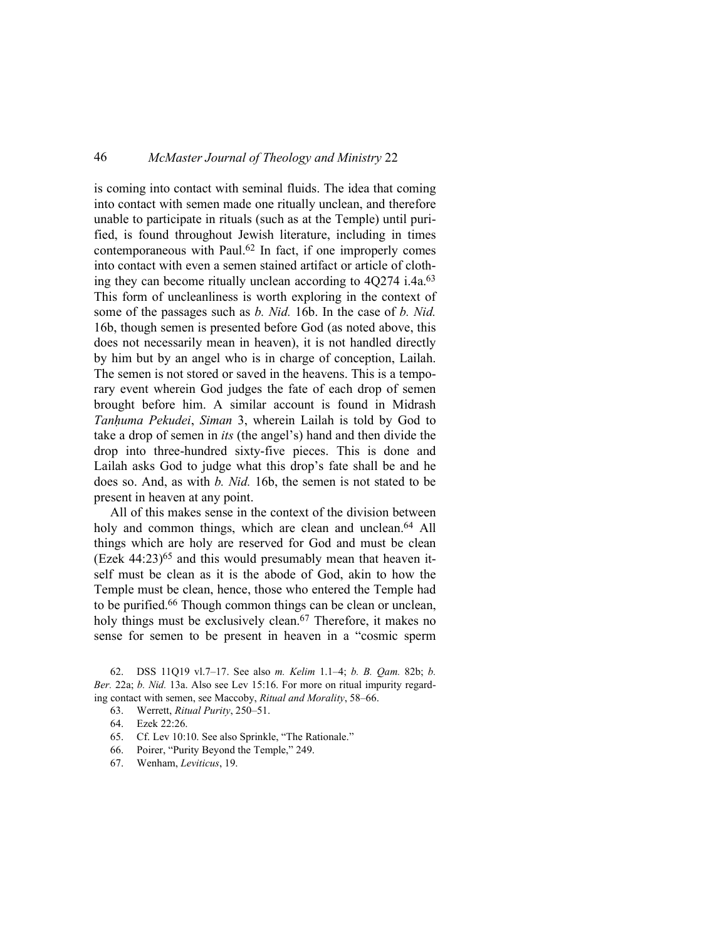is coming into contact with seminal fluids. The idea that coming into contact with semen made one ritually unclean, and therefore unable to participate in rituals (such as at the Temple) until purified, is found throughout Jewish literature, including in times contemporaneous with Paul. $62$  In fact, if one improperly comes into contact with even a semen stained artifact or article of clothing they can become ritually unclean according to 4Q274 i.4a.<sup>63</sup> This form of uncleanliness is worth exploring in the context of some of the passages such as *b. Nid.* 16b. In the case of *b. Nid.*  16b, though semen is presented before God (as noted above, this does not necessarily mean in heaven), it is not handled directly by him but by an angel who is in charge of conception, Lailah. The semen is not stored or saved in the heavens. This is a temporary event wherein God judges the fate of each drop of semen brought before him. A similar account is found in Midrash *Tanḥuma Pekudei*, *Siman* 3, wherein Lailah is told by God to take a drop of semen in *its* (the angel's) hand and then divide the drop into three-hundred sixty-five pieces. This is done and Lailah asks God to judge what this drop's fate shall be and he does so. And, as with *b. Nid.* 16b, the semen is not stated to be present in heaven at any point.

All of this makes sense in the context of the division between holy and common things, which are clean and unclean. <sup>64</sup> All things which are holy are reserved for God and must be clean  $($ Ezek 44:23 $)$ <sup>65</sup> and this would presumably mean that heaven itself must be clean as it is the abode of God, akin to how the Temple must be clean, hence, those who entered the Temple had to be purified.66 Though common things can be clean or unclean, holy things must be exclusively clean.<sup>67</sup> Therefore, it makes no sense for semen to be present in heaven in a "cosmic sperm

62. DSS 11Q19 vl.7–17. See also *m. Kelim* 1.1–4; *b. B. Qam.* 82b; *b. Ber.* 22a; *b. Nid.* 13a. Also see Lev 15:16. For more on ritual impurity regarding contact with semen, see Maccoby, *Ritual and Morality*, 58–66.

- 63. Werrett, *Ritual Purity*, 250–51.
- 64. Ezek 22:26.
- 65. Cf. Lev 10:10. See also Sprinkle, "The Rationale."
- 66. Poirer, "Purity Beyond the Temple," 249.
- 67. Wenham, *Leviticus*, 19.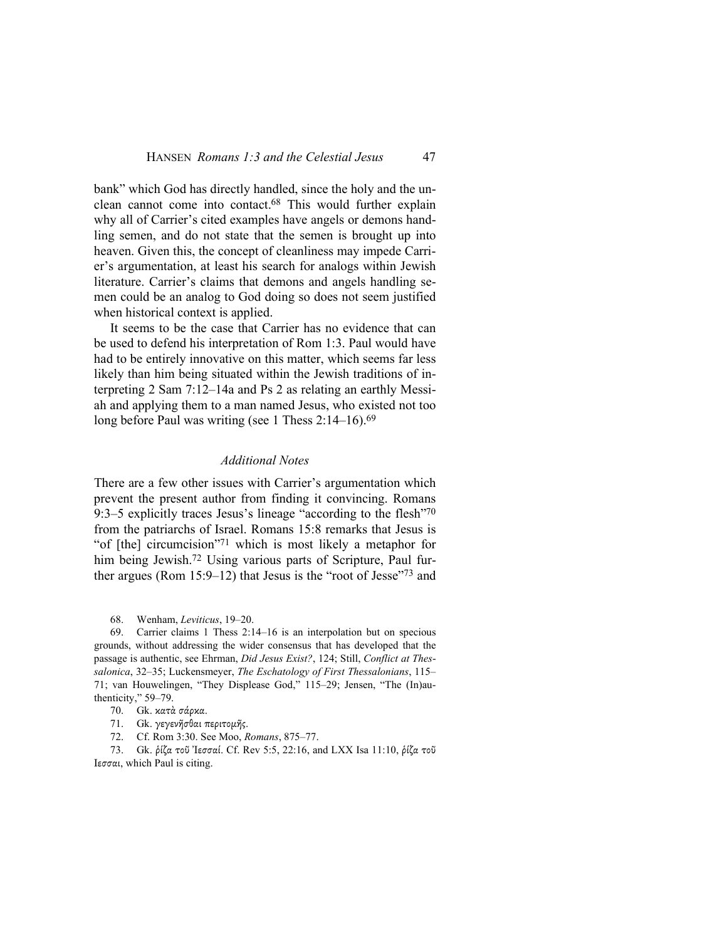bank" which God has directly handled, since the holy and the unclean cannot come into contact.68 This would further explain why all of Carrier's cited examples have angels or demons handling semen, and do not state that the semen is brought up into heaven. Given this, the concept of cleanliness may impede Carrier's argumentation, at least his search for analogs within Jewish literature. Carrier's claims that demons and angels handling semen could be an analog to God doing so does not seem justified when historical context is applied.

It seems to be the case that Carrier has no evidence that can be used to defend his interpretation of Rom 1:3. Paul would have had to be entirely innovative on this matter, which seems far less likely than him being situated within the Jewish traditions of interpreting 2 Sam 7:12–14a and Ps 2 as relating an earthly Messiah and applying them to a man named Jesus, who existed not too long before Paul was writing (see 1 Thess 2:14–16).<sup>69</sup>

#### *Additional Notes*

There are a few other issues with Carrier's argumentation which prevent the present author from finding it convincing. Romans 9:3–5 explicitly traces Jesus's lineage "according to the flesh"<sup>70</sup> from the patriarchs of Israel. Romans 15:8 remarks that Jesus is "of [the] circumcision"71 which is most likely a metaphor for him being Jewish.<sup>72</sup> Using various parts of Scripture, Paul further argues (Rom 15:9–12) that Jesus is the "root of Jesse"73 and

68. Wenham, *Leviticus*, 19–20.

69. Carrier claims 1 Thess 2:14–16 is an interpolation but on specious grounds, without addressing the wider consensus that has developed that the passage is authentic, see Ehrman, *Did Jesus Exist?*, 124; Still, *Conflict at Thessalonica*, 32–35; Luckensmeyer, *The Eschatology of First Thessalonians*, 115– 71; van Houwelingen, "They Displease God," 115–29; Jensen, "The (In)authenticity," 59–79.

70. Gk. κατὰ σάρκα.

71. Gk. γεγενῆσθαι περιτοµῆς.

72. Cf. Rom 3:30. See Moo, *Romans*, 875–77.

73. Gk. ῥίζα τοῦ Ἰεσσαί. Cf. Rev 5:5, 22:16, and LXX Isa 11:10, ῥίζα τοῦ Ιεσσαι, which Paul is citing.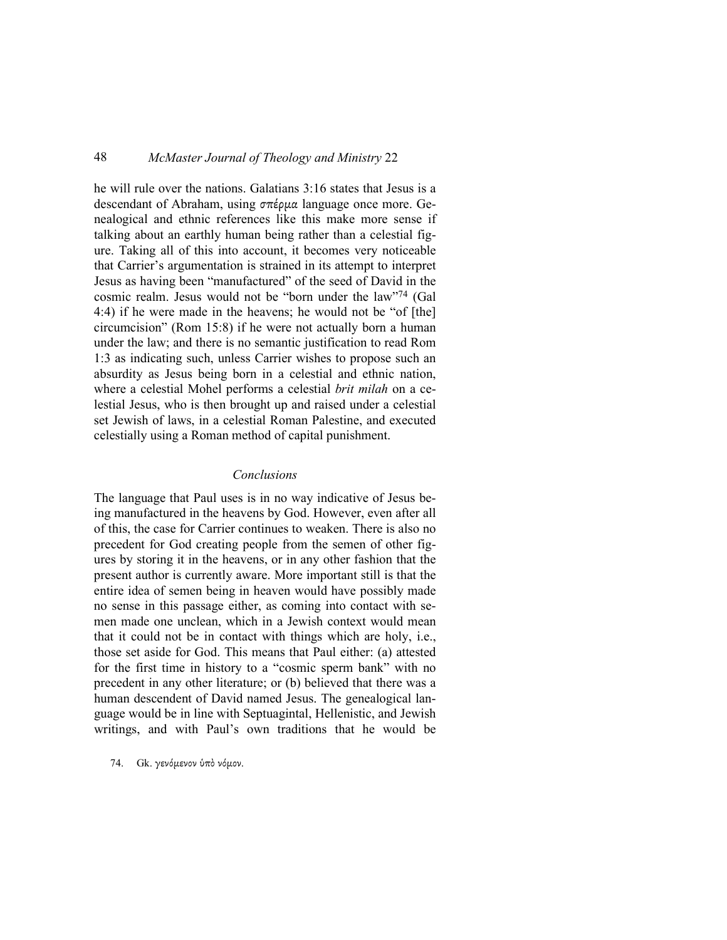he will rule over the nations. Galatians 3:16 states that Jesus is a descendant of Abraham, using σπέρμα language once more. Genealogical and ethnic references like this make more sense if talking about an earthly human being rather than a celestial figure. Taking all of this into account, it becomes very noticeable that Carrier's argumentation is strained in its attempt to interpret Jesus as having been "manufactured" of the seed of David in the cosmic realm. Jesus would not be "born under the law"74 (Gal 4:4) if he were made in the heavens; he would not be "of [the] circumcision" (Rom 15:8) if he were not actually born a human under the law; and there is no semantic justification to read Rom 1:3 as indicating such, unless Carrier wishes to propose such an absurdity as Jesus being born in a celestial and ethnic nation, where a celestial Mohel performs a celestial *brit milah* on a celestial Jesus, who is then brought up and raised under a celestial set Jewish of laws, in a celestial Roman Palestine, and executed celestially using a Roman method of capital punishment.

#### *Conclusions*

The language that Paul uses is in no way indicative of Jesus being manufactured in the heavens by God. However, even after all of this, the case for Carrier continues to weaken. There is also no precedent for God creating people from the semen of other figures by storing it in the heavens, or in any other fashion that the present author is currently aware. More important still is that the entire idea of semen being in heaven would have possibly made no sense in this passage either, as coming into contact with semen made one unclean, which in a Jewish context would mean that it could not be in contact with things which are holy, i.e., those set aside for God. This means that Paul either: (a) attested for the first time in history to a "cosmic sperm bank" with no precedent in any other literature; or (b) believed that there was a human descendent of David named Jesus. The genealogical language would be in line with Septuagintal, Hellenistic, and Jewish writings, and with Paul's own traditions that he would be

74. Gk. γενόµενον ὑπὸ νόµον.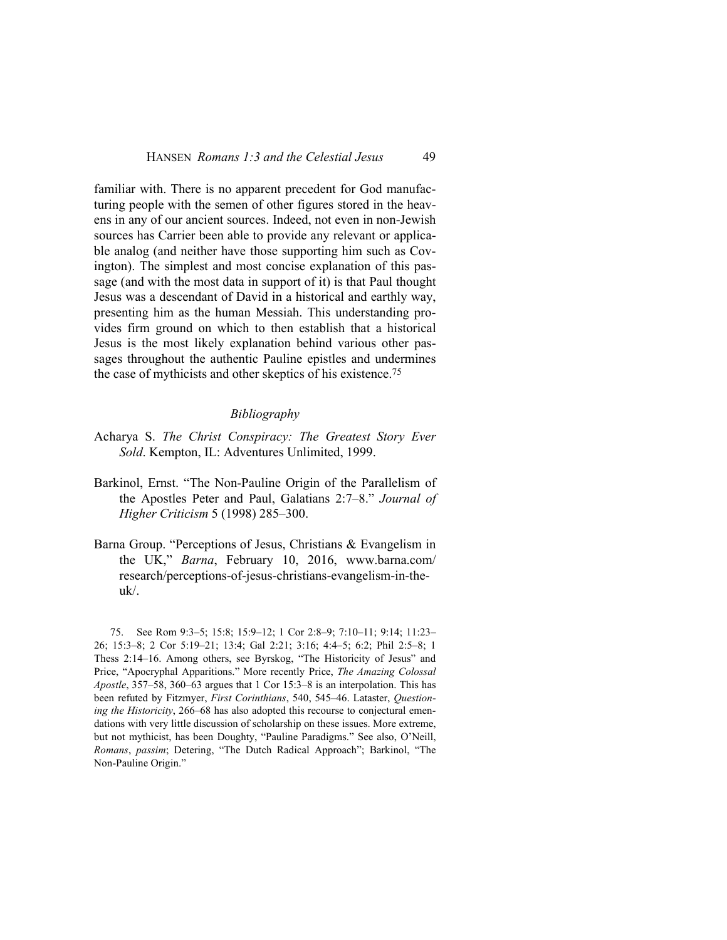familiar with. There is no apparent precedent for God manufacturing people with the semen of other figures stored in the heavens in any of our ancient sources. Indeed, not even in non-Jewish sources has Carrier been able to provide any relevant or applicable analog (and neither have those supporting him such as Covington). The simplest and most concise explanation of this passage (and with the most data in support of it) is that Paul thought Jesus was a descendant of David in a historical and earthly way, presenting him as the human Messiah. This understanding provides firm ground on which to then establish that a historical Jesus is the most likely explanation behind various other passages throughout the authentic Pauline epistles and undermines the case of mythicists and other skeptics of his existence.<sup>75</sup>

#### *Bibliography*

- Acharya S. *The Christ Conspiracy: The Greatest Story Ever Sold*. Kempton, IL: Adventures Unlimited, 1999.
- Barkinol, Ernst. "The Non-Pauline Origin of the Parallelism of the Apostles Peter and Paul, Galatians 2:7–8." *Journal of Higher Criticism* 5 (1998) 285–300.
- Barna Group. "Perceptions of Jesus, Christians & Evangelism in the UK," *Barna*, February 10, 2016, www.barna.com/ research/perceptions-of-jesus-christians-evangelism-in-theuk/.

75. See Rom 9:3–5; 15:8; 15:9–12; 1 Cor 2:8–9; 7:10–11; 9:14; 11:23– 26; 15:3–8; 2 Cor 5:19–21; 13:4; Gal 2:21; 3:16; 4:4–5; 6:2; Phil 2:5–8; 1 Thess 2:14–16. Among others, see Byrskog, "The Historicity of Jesus" and Price, "Apocryphal Apparitions." More recently Price, *The Amazing Colossal Apostle*, 357–58, 360–63 argues that 1 Cor 15:3–8 is an interpolation. This has been refuted by Fitzmyer, *First Corinthians*, 540, 545–46. Lataster, *Questioning the Historicity*, 266–68 has also adopted this recourse to conjectural emendations with very little discussion of scholarship on these issues. More extreme, but not mythicist, has been Doughty, "Pauline Paradigms." See also, O'Neill, *Romans*, *passim*; Detering, "The Dutch Radical Approach"; Barkinol, "The Non-Pauline Origin."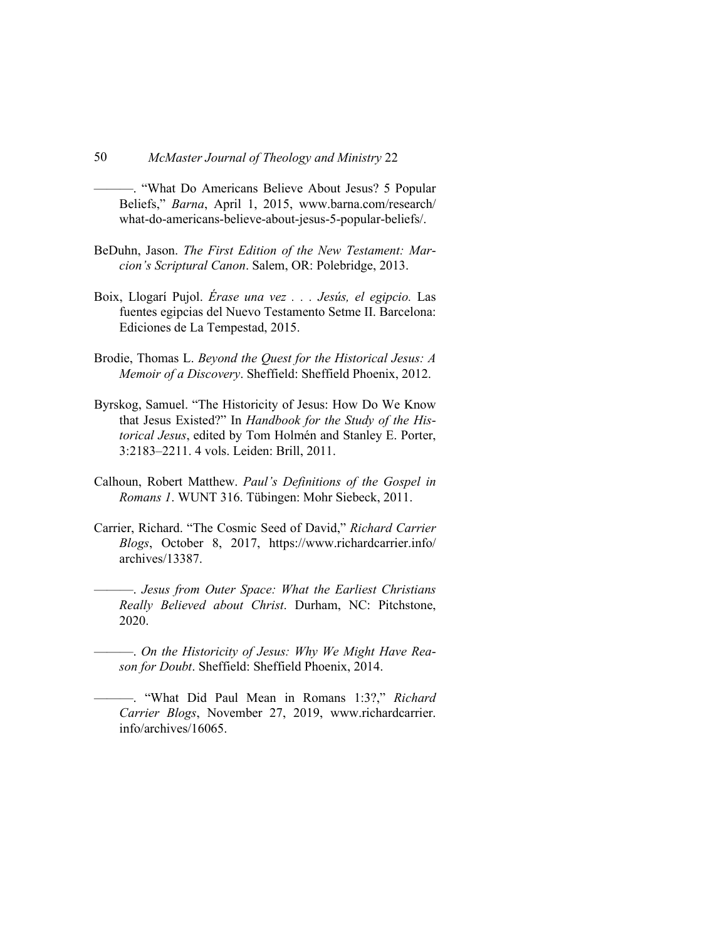———. "What Do Americans Believe About Jesus? 5 Popular Beliefs," *Barna*, April 1, 2015, www.barna.com/research/ what-do-americans-believe-about-jesus-5-popular-beliefs/.

- BeDuhn, Jason. *The First Edition of the New Testament: Marcion's Scriptural Canon*. Salem, OR: Polebridge, 2013.
- Boix, Llogarí Pujol. *Érase una vez . . . Jesús, el egipcio.* Las fuentes egipcias del Nuevo Testamento Setme II. Barcelona: Ediciones de La Tempestad, 2015.
- Brodie, Thomas L. *Beyond the Quest for the Historical Jesus: A Memoir of a Discovery*. Sheffield: Sheffield Phoenix, 2012.
- Byrskog, Samuel. "The Historicity of Jesus: How Do We Know that Jesus Existed?" In *Handbook for the Study of the Historical Jesus*, edited by Tom Holmén and Stanley E. Porter, 3:2183–2211. 4 vols. Leiden: Brill, 2011.
- Calhoun, Robert Matthew. *Paul's Definitions of the Gospel in Romans 1*. WUNT 316. Tübingen: Mohr Siebeck, 2011.
- Carrier, Richard. "The Cosmic Seed of David," *Richard Carrier Blogs*, October 8, 2017, https://www.richardcarrier.info/ archives/13387.
- ———. *Jesus from Outer Space: What the Earliest Christians Really Believed about Christ*. Durham, NC: Pitchstone, 2020.
- ———. *On the Historicity of Jesus: Why We Might Have Reason for Doubt*. Sheffield: Sheffield Phoenix, 2014.
	- ———. "What Did Paul Mean in Romans 1:3?," *Richard Carrier Blogs*, November 27, 2019, www.richardcarrier. info/archives/16065.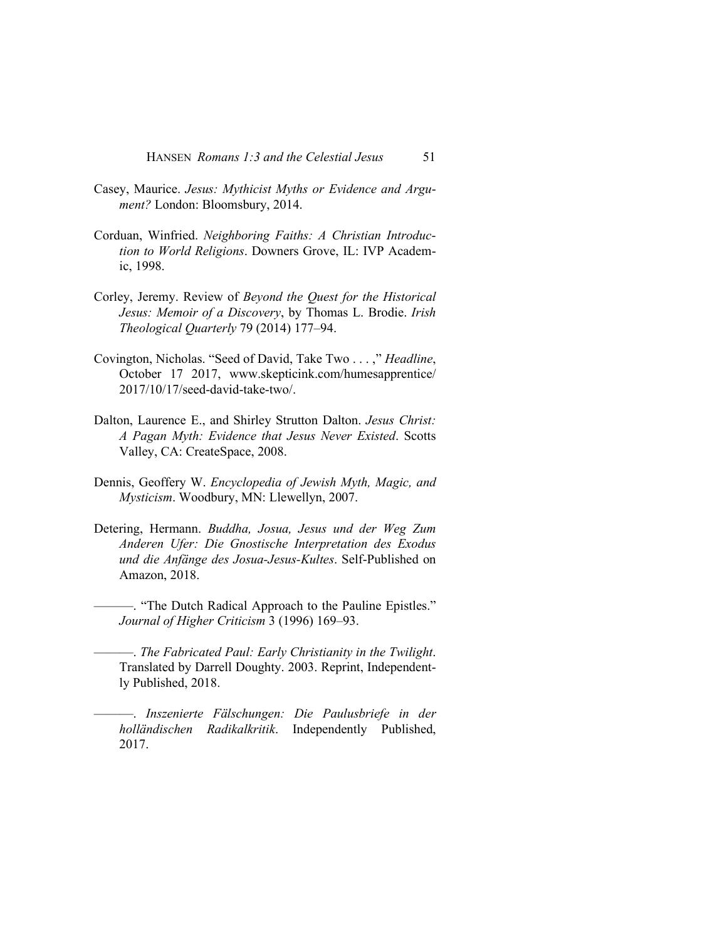HANSEN *Romans 1:3 and the Celestial Jesus* 51

- Casey, Maurice. *Jesus: Mythicist Myths or Evidence and Argument?* London: Bloomsbury, 2014.
- Corduan, Winfried. *Neighboring Faiths: A Christian Introduction to World Religions*. Downers Grove, IL: IVP Academic, 1998.
- Corley, Jeremy. Review of *Beyond the Quest for the Historical Jesus: Memoir of a Discovery*, by Thomas L. Brodie. *Irish Theological Quarterly* 79 (2014) 177–94.
- Covington, Nicholas. "Seed of David, Take Two . . . ," *Headline*, October 17 2017, www.skepticink.com/humesapprentice/ 2017/10/17/seed-david-take-two/.
- Dalton, Laurence E., and Shirley Strutton Dalton. *Jesus Christ: A Pagan Myth: Evidence that Jesus Never Existed*. Scotts Valley, CA: CreateSpace, 2008.
- Dennis, Geoffery W. *Encyclopedia of Jewish Myth, Magic, and Mysticism*. Woodbury, MN: Llewellyn, 2007.
- Detering, Hermann. *Buddha, Josua, Jesus und der Weg Zum Anderen Ufer: Die Gnostische Interpretation des Exodus und die Anfänge des Josua-Jesus-Kultes*. Self-Published on Amazon, 2018.
	- ———. "The Dutch Radical Approach to the Pauline Epistles." *Journal of Higher Criticism* 3 (1996) 169–93.
	- ———. *The Fabricated Paul: Early Christianity in the Twilight*. Translated by Darrell Doughty. 2003. Reprint, Independently Published, 2018.
- ———. *Inszenierte Fälschungen: Die Paulusbriefe in der holländischen Radikalkritik*. Independently Published, 2017.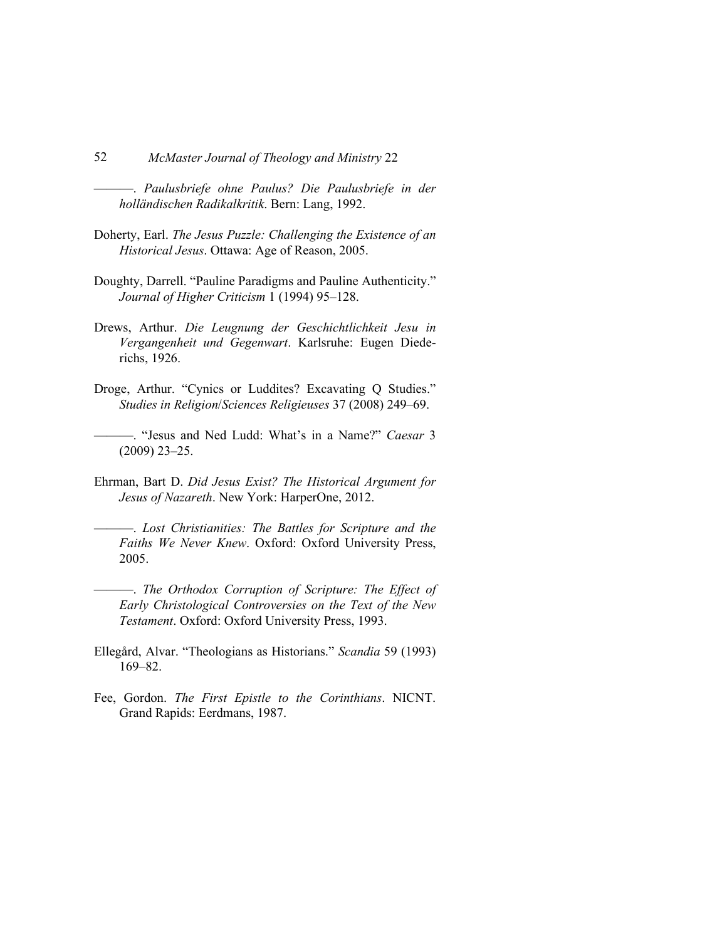———. *Paulusbriefe ohne Paulus? Die Paulusbriefe in der holländischen Radikalkritik*. Bern: Lang, 1992.

- Doherty, Earl. *The Jesus Puzzle: Challenging the Existence of an Historical Jesus*. Ottawa: Age of Reason, 2005.
- Doughty, Darrell. "Pauline Paradigms and Pauline Authenticity." *Journal of Higher Criticism* 1 (1994) 95–128.
- Drews, Arthur. *Die Leugnung der Geschichtlichkeit Jesu in Vergangenheit und Gegenwart*. Karlsruhe: Eugen Diederichs, 1926.
- Droge, Arthur. "Cynics or Luddites? Excavating Q Studies." *Studies in Religion*/*Sciences Religieuses* 37 (2008) 249–69.
	- ———. "Jesus and Ned Ludd: What's in a Name?" *Caesar* 3 (2009) 23–25.
- Ehrman, Bart D. *Did Jesus Exist? The Historical Argument for Jesus of Nazareth*. New York: HarperOne, 2012.
	- ———. *Lost Christianities: The Battles for Scripture and the Faiths We Never Knew*. Oxford: Oxford University Press, 2005.
	- ———. *The Orthodox Corruption of Scripture: The Effect of Early Christological Controversies on the Text of the New Testament*. Oxford: Oxford University Press, 1993.
- Ellegård, Alvar. "Theologians as Historians." *Scandia* 59 (1993) 169–82.
- Fee, Gordon. *The First Epistle to the Corinthians*. NICNT. Grand Rapids: Eerdmans, 1987.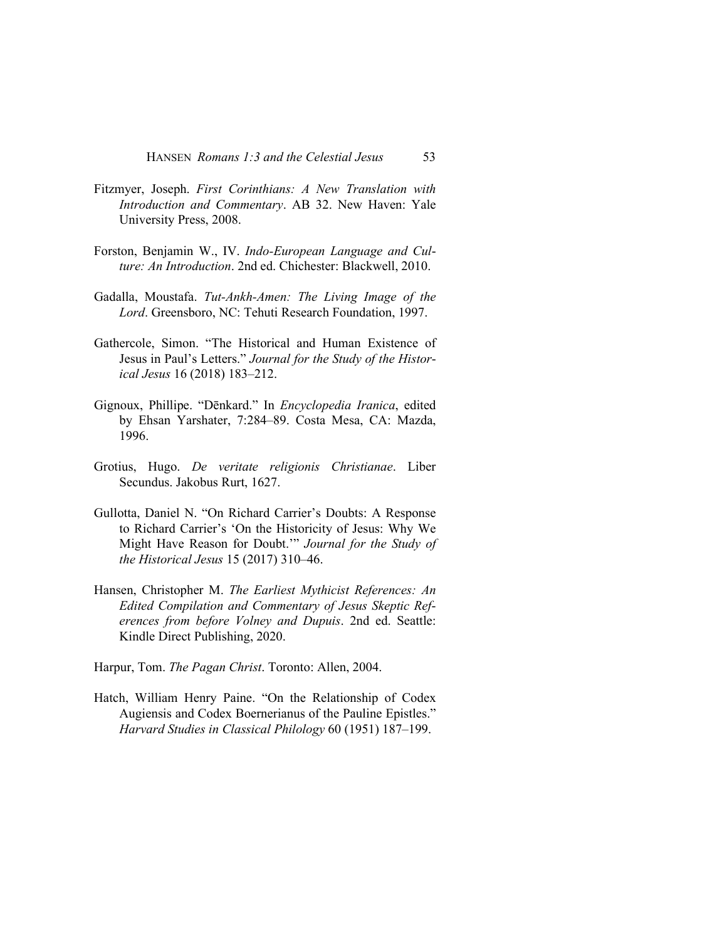HANSEN *Romans 1:3 and the Celestial Jesus* 53

- Fitzmyer, Joseph. *First Corinthians: A New Translation with Introduction and Commentary*. AB 32. New Haven: Yale University Press, 2008.
- Forston, Benjamin W., IV. *Indo-European Language and Culture: An Introduction*. 2nd ed. Chichester: Blackwell, 2010.
- Gadalla, Moustafa. *Tut-Ankh-Amen: The Living Image of the Lord*. Greensboro, NC: Tehuti Research Foundation, 1997.
- Gathercole, Simon. "The Historical and Human Existence of Jesus in Paul's Letters." *Journal for the Study of the Historical Jesus* 16 (2018) 183–212.
- Gignoux, Phillipe. "Dēnkard." In *Encyclopedia Iranica*, edited by Ehsan Yarshater, 7:284–89. Costa Mesa, CA: Mazda, 1996.
- Grotius, Hugo. *De veritate religionis Christianae*. Liber Secundus. Jakobus Rurt, 1627.
- Gullotta, Daniel N. "On Richard Carrier's Doubts: A Response to Richard Carrier's 'On the Historicity of Jesus: Why We Might Have Reason for Doubt.'" *Journal for the Study of the Historical Jesus* 15 (2017) 310–46.
- Hansen, Christopher M. *The Earliest Mythicist References: An Edited Compilation and Commentary of Jesus Skeptic References from before Volney and Dupuis*. 2nd ed. Seattle: Kindle Direct Publishing, 2020.
- Harpur, Tom. *The Pagan Christ*. Toronto: Allen, 2004.
- Hatch, William Henry Paine. "On the Relationship of Codex Augiensis and Codex Boernerianus of the Pauline Epistles." *Harvard Studies in Classical Philology* 60 (1951) 187–199.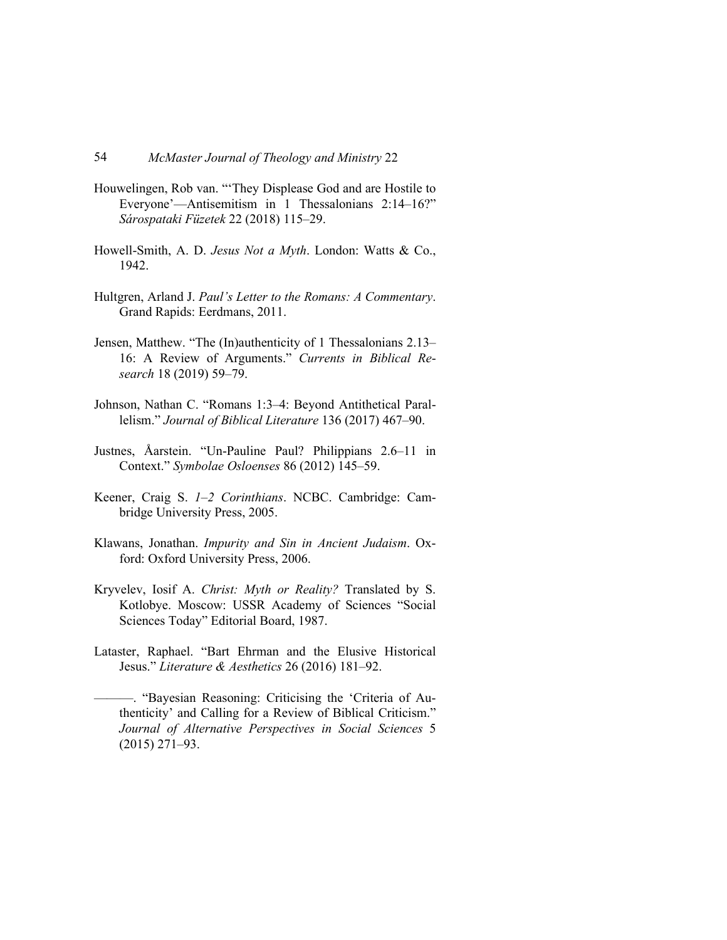- Houwelingen, Rob van. "'They Displease God and are Hostile to Everyone'—Antisemitism in 1 Thessalonians 2:14–16?" *Sárospataki Füzetek* 22 (2018) 115–29.
- Howell-Smith, A. D. *Jesus Not a Myth*. London: Watts & Co., 1942.
- Hultgren, Arland J. *Paul's Letter to the Romans: A Commentary*. Grand Rapids: Eerdmans, 2011.
- Jensen, Matthew. "The (In)authenticity of 1 Thessalonians 2.13– 16: A Review of Arguments." *Currents in Biblical Research* 18 (2019) 59–79.
- Johnson, Nathan C. "Romans 1:3–4: Beyond Antithetical Parallelism." *Journal of Biblical Literature* 136 (2017) 467–90.
- Justnes, Åarstein. "Un-Pauline Paul? Philippians 2.6–11 in Context." *Symbolae Osloenses* 86 (2012) 145–59.
- Keener, Craig S. *1–2 Corinthians*. NCBC. Cambridge: Cambridge University Press, 2005.
- Klawans, Jonathan. *Impurity and Sin in Ancient Judaism*. Oxford: Oxford University Press, 2006.
- Kryvelev, Iosif A. *Christ: Myth or Reality?* Translated by S. Kotlobye. Moscow: USSR Academy of Sciences "Social Sciences Today" Editorial Board, 1987.
- Lataster, Raphael. "Bart Ehrman and the Elusive Historical Jesus." *Literature & Aesthetics* 26 (2016) 181–92.
	- ———. "Bayesian Reasoning: Criticising the 'Criteria of Authenticity' and Calling for a Review of Biblical Criticism." *Journal of Alternative Perspectives in Social Sciences* 5 (2015) 271–93.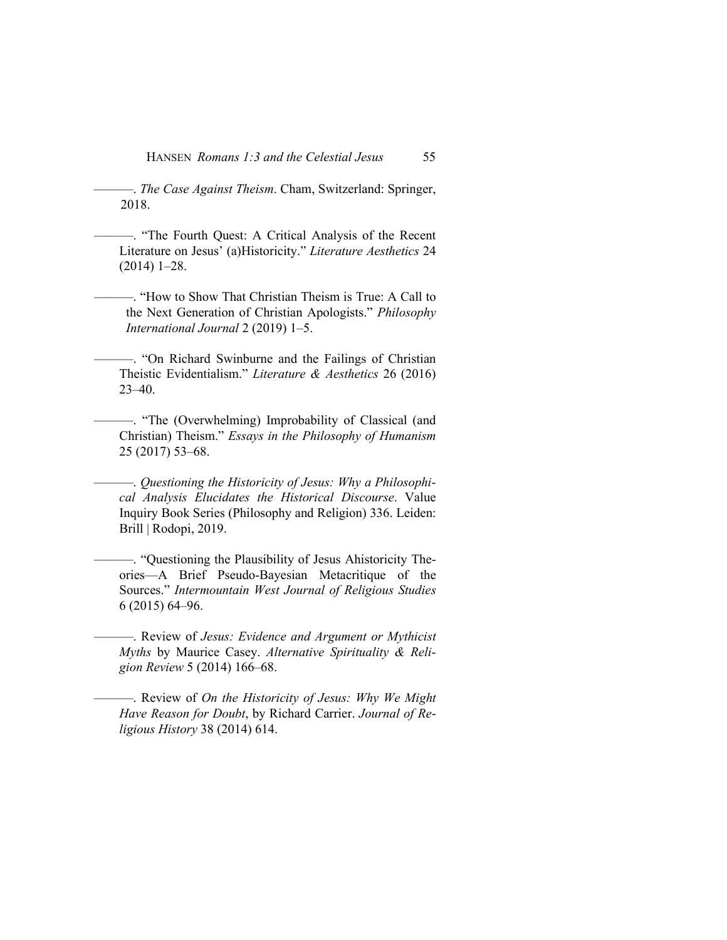———. *The Case Against Theism*. Cham, Switzerland: Springer, 2018.

- ———. "The Fourth Quest: A Critical Analysis of the Recent Literature on Jesus' (a)Historicity." *Literature Aesthetics* 24 (2014) 1–28.
- ———. "How to Show That Christian Theism is True: A Call to the Next Generation of Christian Apologists." *Philosophy International Journal* 2 (2019) 1–5.
- ———. "On Richard Swinburne and the Failings of Christian Theistic Evidentialism." *Literature & Aesthetics* 26 (2016) 23–40.
- ———. "The (Overwhelming) Improbability of Classical (and Christian) Theism." *Essays in the Philosophy of Humanism*  25 (2017) 53–68.
- ———. *Questioning the Historicity of Jesus: Why a Philosophical Analysis Elucidates the Historical Discourse*. Value Inquiry Book Series (Philosophy and Religion) 336. Leiden: Brill | Rodopi, 2019.
- ———. "Questioning the Plausibility of Jesus Ahistoricity Theories—A Brief Pseudo-Bayesian Metacritique of the Sources." *Intermountain West Journal of Religious Studies*  6 (2015) 64–96.
- ———. Review of *Jesus: Evidence and Argument or Mythicist Myths* by Maurice Casey. *Alternative Spirituality & Religion Review* 5 (2014) 166–68.
- ———. Review of *On the Historicity of Jesus: Why We Might Have Reason for Doubt*, by Richard Carrier. *Journal of Religious History* 38 (2014) 614.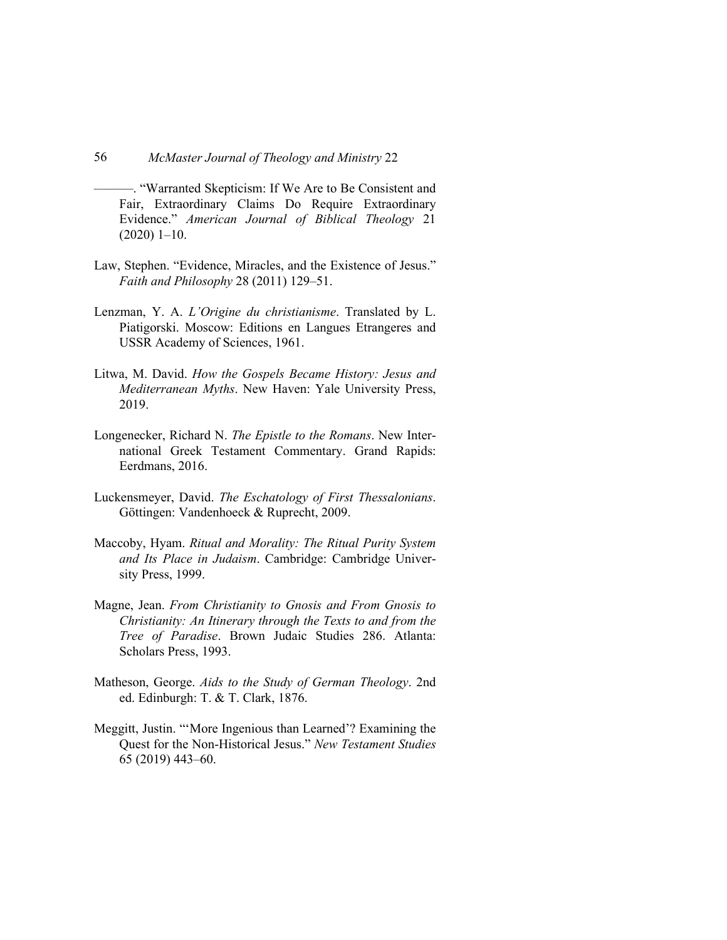———. "Warranted Skepticism: If We Are to Be Consistent and Fair, Extraordinary Claims Do Require Extraordinary Evidence." *American Journal of Biblical Theology* 21 (2020) 1–10.

- Law, Stephen. "Evidence, Miracles, and the Existence of Jesus." *Faith and Philosophy* 28 (2011) 129–51.
- Lenzman, Y. A. *L'Origine du christianisme*. Translated by L. Piatigorski. Moscow: Editions en Langues Etrangeres and USSR Academy of Sciences, 1961.
- Litwa, M. David. *How the Gospels Became History: Jesus and Mediterranean Myths*. New Haven: Yale University Press, 2019.
- Longenecker, Richard N. *The Epistle to the Romans*. New International Greek Testament Commentary. Grand Rapids: Eerdmans, 2016.
- Luckensmeyer, David. *The Eschatology of First Thessalonians*. Göttingen: Vandenhoeck & Ruprecht, 2009.
- Maccoby, Hyam. *Ritual and Morality: The Ritual Purity System and Its Place in Judaism*. Cambridge: Cambridge University Press, 1999.
- Magne, Jean. *From Christianity to Gnosis and From Gnosis to Christianity: An Itinerary through the Texts to and from the Tree of Paradise*. Brown Judaic Studies 286. Atlanta: Scholars Press, 1993.
- Matheson, George. *Aids to the Study of German Theology*. 2nd ed. Edinburgh: T. & T. Clark, 1876.
- Meggitt, Justin. "'More Ingenious than Learned'? Examining the Quest for the Non-Historical Jesus." *New Testament Studies*  65 (2019) 443–60.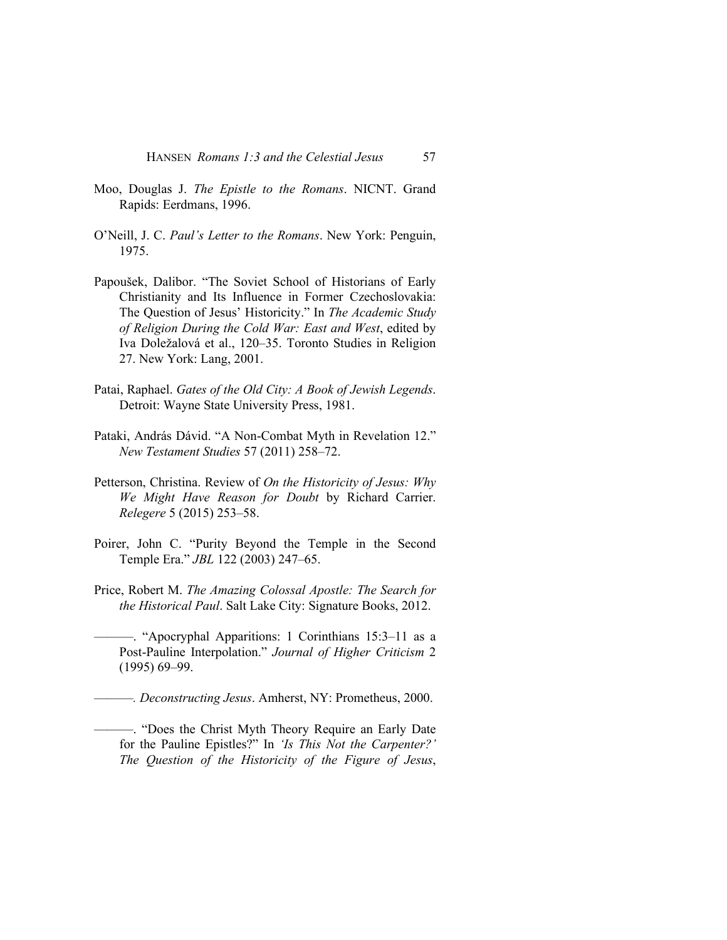- Moo, Douglas J. *The Epistle to the Romans*. NICNT. Grand Rapids: Eerdmans, 1996.
- O'Neill, J. C. *Paul's Letter to the Romans*. New York: Penguin, 1975.
- Papoušek, Dalibor. "The Soviet School of Historians of Early Christianity and Its Influence in Former Czechoslovakia: The Question of Jesus' Historicity." In *The Academic Study of Religion During the Cold War: East and West*, edited by Iva Doležalová et al., 120–35. Toronto Studies in Religion 27. New York: Lang, 2001.
- Patai, Raphael. *Gates of the Old City: A Book of Jewish Legends*. Detroit: Wayne State University Press, 1981.
- Pataki, András Dávid. "A Non-Combat Myth in Revelation 12." *New Testament Studies* 57 (2011) 258–72.
- Petterson, Christina. Review of *On the Historicity of Jesus: Why We Might Have Reason for Doubt* by Richard Carrier. *Relegere* 5 (2015) 253–58.
- Poirer, John C. "Purity Beyond the Temple in the Second Temple Era." *JBL* 122 (2003) 247–65.
- Price, Robert M. *The Amazing Colossal Apostle: The Search for the Historical Paul*. Salt Lake City: Signature Books, 2012.
- ———. "Apocryphal Apparitions: 1 Corinthians 15:3–11 as a Post-Pauline Interpolation." *Journal of Higher Criticism* 2 (1995) 69–99.
- ———*. Deconstructing Jesus*. Amherst, NY: Prometheus, 2000.
- ———. "Does the Christ Myth Theory Require an Early Date for the Pauline Epistles?" In *'Is This Not the Carpenter?' The Question of the Historicity of the Figure of Jesus*,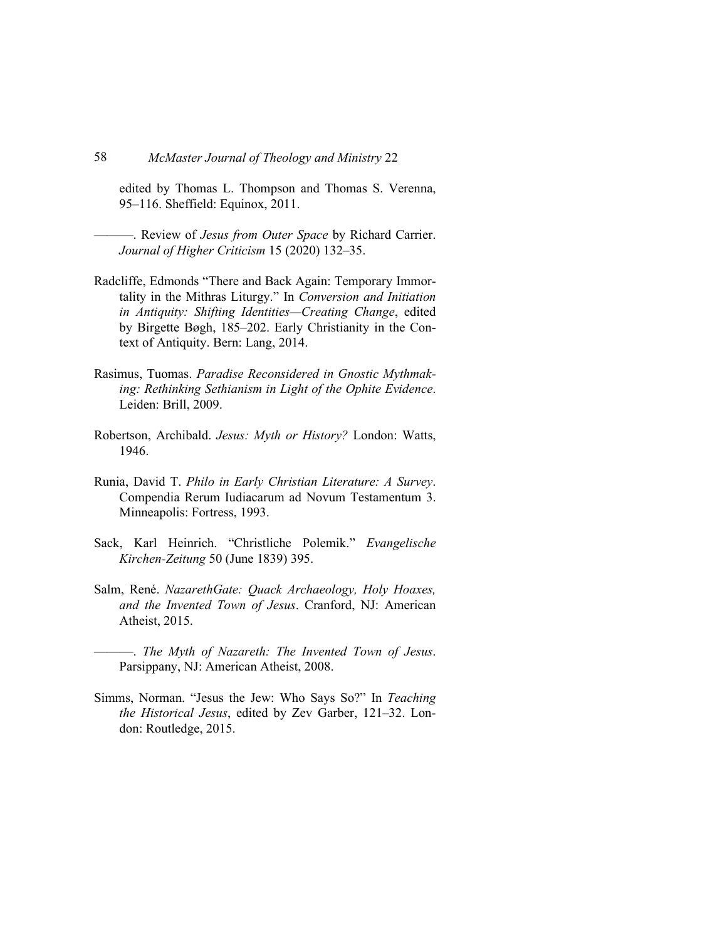edited by Thomas L. Thompson and Thomas S. Verenna, 95–116. Sheffield: Equinox, 2011.

- ———. Review of *Jesus from Outer Space* by Richard Carrier. *Journal of Higher Criticism* 15 (2020) 132–35.
- Radcliffe, Edmonds "There and Back Again: Temporary Immortality in the Mithras Liturgy." In *Conversion and Initiation in Antiquity: Shifting Identities—Creating Change*, edited by Birgette Bøgh, 185–202. Early Christianity in the Context of Antiquity. Bern: Lang, 2014.
- Rasimus, Tuomas. *Paradise Reconsidered in Gnostic Mythmaking: Rethinking Sethianism in Light of the Ophite Evidence*. Leiden: Brill, 2009.
- Robertson, Archibald. *Jesus: Myth or History?* London: Watts, 1946.
- Runia, David T. *Philo in Early Christian Literature: A Survey*. Compendia Rerum Iudiacarum ad Novum Testamentum 3. Minneapolis: Fortress, 1993.
- Sack, Karl Heinrich. "Christliche Polemik." *Evangelische Kirchen-Zeitung* 50 (June 1839) 395.
- Salm, René. *NazarethGate: Quack Archaeology, Holy Hoaxes, and the Invented Town of Jesus*. Cranford, NJ: American Atheist, 2015.
- ———. *The Myth of Nazareth: The Invented Town of Jesus*. Parsippany, NJ: American Atheist, 2008.
- Simms, Norman. "Jesus the Jew: Who Says So?" In *Teaching the Historical Jesus*, edited by Zev Garber, 121–32. London: Routledge, 2015.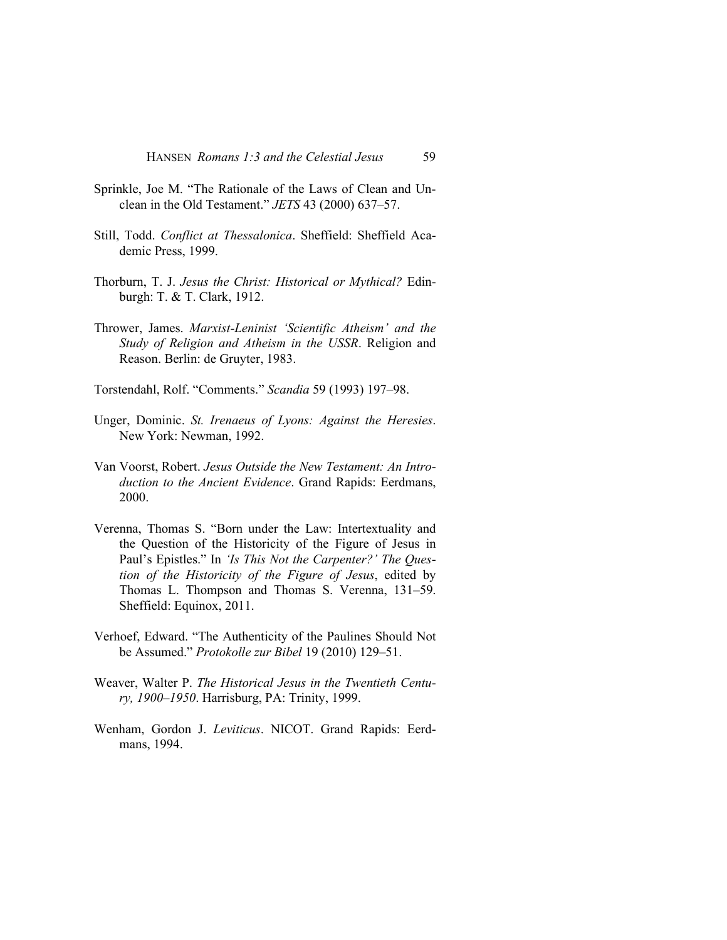- Sprinkle, Joe M. "The Rationale of the Laws of Clean and Unclean in the Old Testament." *JETS* 43 (2000) 637–57.
- Still, Todd. *Conflict at Thessalonica*. Sheffield: Sheffield Academic Press, 1999.
- Thorburn, T. J. *Jesus the Christ: Historical or Mythical?* Edinburgh: T. & T. Clark, 1912.
- Thrower, James. *Marxist-Leninist 'Scientific Atheism' and the Study of Religion and Atheism in the USSR*. Religion and Reason. Berlin: de Gruyter, 1983.
- Torstendahl, Rolf. "Comments." *Scandia* 59 (1993) 197–98.
- Unger, Dominic. *St. Irenaeus of Lyons: Against the Heresies*. New York: Newman, 1992.
- Van Voorst, Robert. *Jesus Outside the New Testament: An Introduction to the Ancient Evidence*. Grand Rapids: Eerdmans, 2000.
- Verenna, Thomas S. "Born under the Law: Intertextuality and the Question of the Historicity of the Figure of Jesus in Paul's Epistles." In *'Is This Not the Carpenter?' The Question of the Historicity of the Figure of Jesus*, edited by Thomas L. Thompson and Thomas S. Verenna, 131–59. Sheffield: Equinox, 2011.
- Verhoef, Edward. "The Authenticity of the Paulines Should Not be Assumed." *Protokolle zur Bibel* 19 (2010) 129–51.
- Weaver, Walter P. *The Historical Jesus in the Twentieth Century, 1900–1950*. Harrisburg, PA: Trinity, 1999.
- Wenham, Gordon J. *Leviticus*. NICOT. Grand Rapids: Eerdmans, 1994.